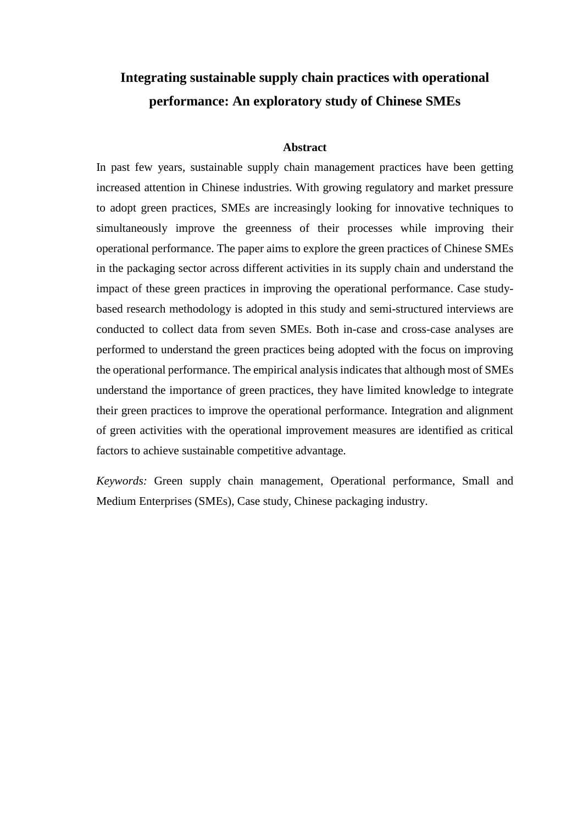# **Integrating sustainable supply chain practices with operational performance: An exploratory study of Chinese SMEs**

## **Abstract**

In past few years, sustainable supply chain management practices have been getting increased attention in Chinese industries. With growing regulatory and market pressure to adopt green practices, SMEs are increasingly looking for innovative techniques to simultaneously improve the greenness of their processes while improving their operational performance. The paper aims to explore the green practices of Chinese SMEs in the packaging sector across different activities in its supply chain and understand the impact of these green practices in improving the operational performance. Case studybased research methodology is adopted in this study and semi-structured interviews are conducted to collect data from seven SMEs. Both in-case and cross-case analyses are performed to understand the green practices being adopted with the focus on improving the operational performance. The empirical analysis indicates that although most of SMEs understand the importance of green practices, they have limited knowledge to integrate their green practices to improve the operational performance. Integration and alignment of green activities with the operational improvement measures are identified as critical factors to achieve sustainable competitive advantage.

*Keywords:* Green supply chain management, Operational performance, Small and Medium Enterprises (SMEs), Case study, Chinese packaging industry.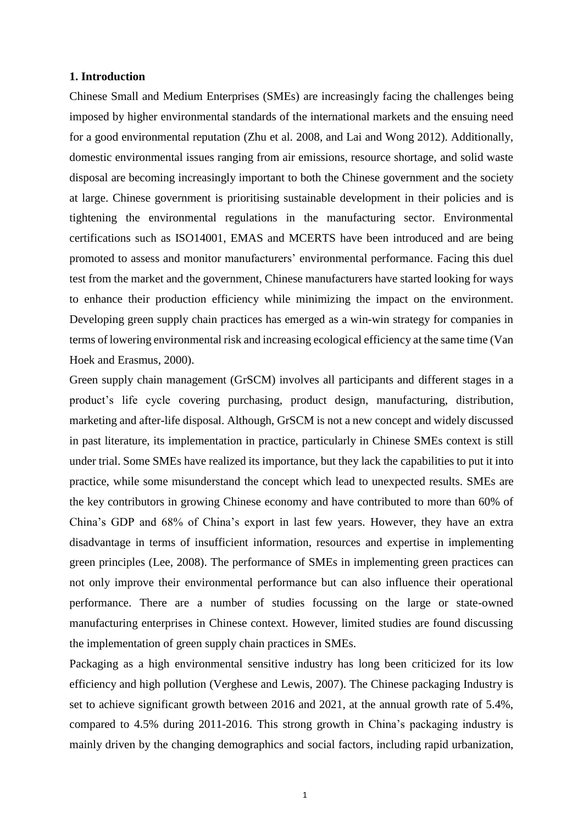## **1. Introduction**

Chinese Small and Medium Enterprises (SMEs) are increasingly facing the challenges being imposed by higher environmental standards of the international markets and the ensuing need for a good environmental reputation (Zhu et al. 2008, and Lai and Wong 2012). Additionally, domestic environmental issues ranging from air emissions, resource shortage, and solid waste disposal are becoming increasingly important to both the Chinese government and the society at large. Chinese government is prioritising sustainable development in their policies and is tightening the environmental regulations in the manufacturing sector. Environmental certifications such as ISO14001, EMAS and MCERTS have been introduced and are being promoted to assess and monitor manufacturers' environmental performance. Facing this duel test from the market and the government, Chinese manufacturers have started looking for ways to enhance their production efficiency while minimizing the impact on the environment. Developing green supply chain practices has emerged as a win-win strategy for companies in terms of lowering environmental risk and increasing ecological efficiency at the same time (Van Hoek and Erasmus, 2000).

Green supply chain management (GrSCM) involves all participants and different stages in a product's life cycle covering purchasing, product design, manufacturing, distribution, marketing and after-life disposal. Although, GrSCM is not a new concept and widely discussed in past literature, its implementation in practice, particularly in Chinese SMEs context is still under trial. Some SMEs have realized its importance, but they lack the capabilities to put it into practice, while some misunderstand the concept which lead to unexpected results. SMEs are the key contributors in growing Chinese economy and have contributed to more than 60% of China's GDP and 68% of China's export in last few years. However, they have an extra disadvantage in terms of insufficient information, resources and expertise in implementing green principles (Lee, 2008). The performance of SMEs in implementing green practices can not only improve their environmental performance but can also influence their operational performance. There are a number of studies focussing on the large or state-owned manufacturing enterprises in Chinese context. However, limited studies are found discussing the implementation of green supply chain practices in SMEs.

Packaging as a high environmental sensitive industry has long been criticized for its low efficiency and high pollution (Verghese and Lewis, 2007). The Chinese packaging Industry is set to achieve significant growth between 2016 and 2021, at the annual growth rate of 5.4%, compared to 4.5% during 2011-2016. This strong growth in China's packaging industry is mainly driven by the changing demographics and social factors, including rapid urbanization,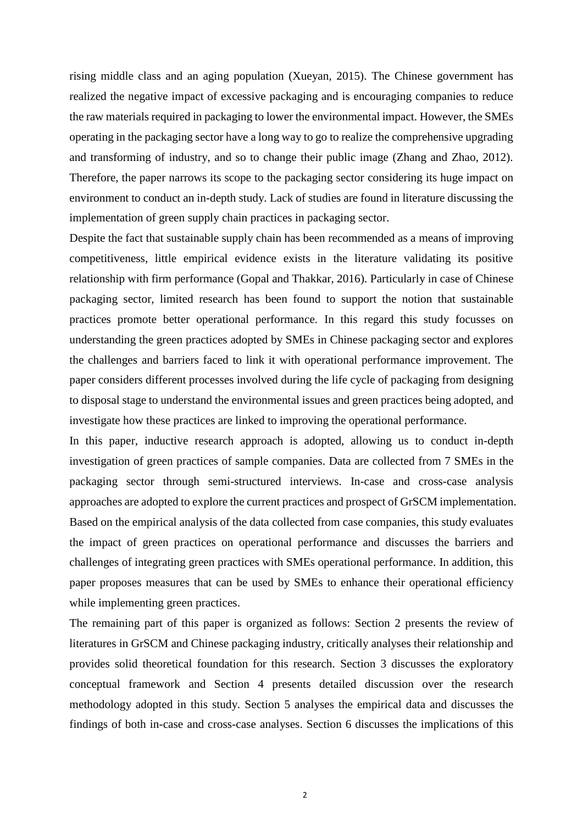rising middle class and an aging population (Xueyan, 2015). The Chinese government has realized the negative impact of excessive packaging and is encouraging companies to reduce the raw materials required in packaging to lower the environmental impact. However, the SMEs operating in the packaging sector have a long way to go to realize the comprehensive upgrading and transforming of industry, and so to change their public image (Zhang and Zhao, 2012). Therefore, the paper narrows its scope to the packaging sector considering its huge impact on environment to conduct an in-depth study. Lack of studies are found in literature discussing the implementation of green supply chain practices in packaging sector.

Despite the fact that sustainable supply chain has been recommended as a means of improving competitiveness, little empirical evidence exists in the literature validating its positive relationship with firm performance (Gopal and Thakkar, 2016). Particularly in case of Chinese packaging sector, limited research has been found to support the notion that sustainable practices promote better operational performance. In this regard this study focusses on understanding the green practices adopted by SMEs in Chinese packaging sector and explores the challenges and barriers faced to link it with operational performance improvement. The paper considers different processes involved during the life cycle of packaging from designing to disposal stage to understand the environmental issues and green practices being adopted, and investigate how these practices are linked to improving the operational performance.

In this paper, inductive research approach is adopted, allowing us to conduct in-depth investigation of green practices of sample companies. Data are collected from 7 SMEs in the packaging sector through semi-structured interviews. In-case and cross-case analysis approaches are adopted to explore the current practices and prospect of GrSCM implementation. Based on the empirical analysis of the data collected from case companies, this study evaluates the impact of green practices on operational performance and discusses the barriers and challenges of integrating green practices with SMEs operational performance. In addition, this paper proposes measures that can be used by SMEs to enhance their operational efficiency while implementing green practices.

The remaining part of this paper is organized as follows: Section 2 presents the review of literatures in GrSCM and Chinese packaging industry, critically analyses their relationship and provides solid theoretical foundation for this research. Section 3 discusses the exploratory conceptual framework and Section 4 presents detailed discussion over the research methodology adopted in this study. Section 5 analyses the empirical data and discusses the findings of both in-case and cross-case analyses. Section 6 discusses the implications of this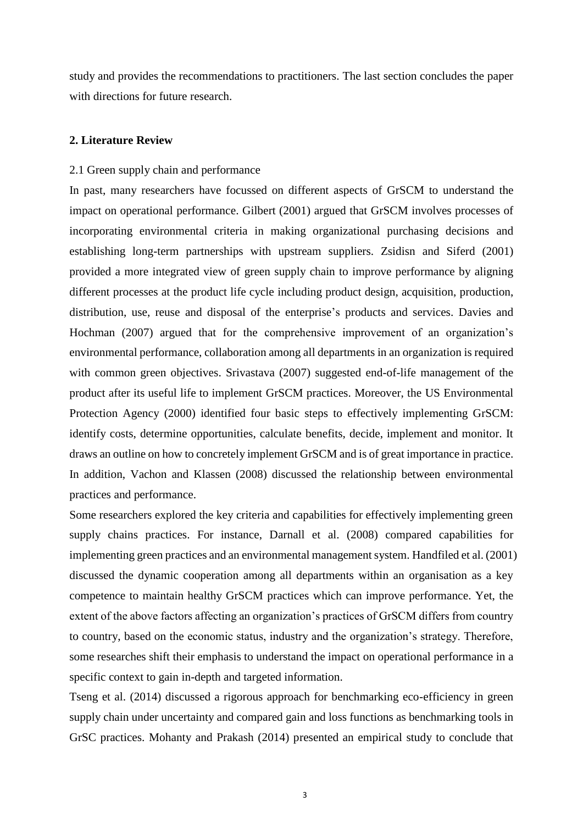study and provides the recommendations to practitioners. The last section concludes the paper with directions for future research.

## **2. Literature Review**

### 2.1 Green supply chain and performance

In past, many researchers have focussed on different aspects of GrSCM to understand the impact on operational performance. Gilbert (2001) argued that GrSCM involves processes of incorporating environmental criteria in making organizational purchasing decisions and establishing long-term partnerships with upstream suppliers. Zsidisn and Siferd (2001) provided a more integrated view of green supply chain to improve performance by aligning different processes at the product life cycle including product design, acquisition, production, distribution, use, reuse and disposal of the enterprise's products and services. Davies and Hochman (2007) argued that for the comprehensive improvement of an organization's environmental performance, collaboration among all departments in an organization is required with common green objectives. Srivastava (2007) suggested end-of-life management of the product after its useful life to implement GrSCM practices. Moreover, the US Environmental Protection Agency (2000) identified four basic steps to effectively implementing GrSCM: identify costs, determine opportunities, calculate benefits, decide, implement and monitor. It draws an outline on how to concretely implement GrSCM and is of great importance in practice. In addition, Vachon and Klassen (2008) discussed the relationship between environmental practices and performance.

Some researchers explored the key criteria and capabilities for effectively implementing green supply chains practices. For instance, Darnall et al. (2008) compared capabilities for implementing green practices and an environmental management system. Handfiled et al. (2001) discussed the dynamic cooperation among all departments within an organisation as a key competence to maintain healthy GrSCM practices which can improve performance. Yet, the extent of the above factors affecting an organization's practices of GrSCM differs from country to country, based on the economic status, industry and the organization's strategy. Therefore, some researches shift their emphasis to understand the impact on operational performance in a specific context to gain in-depth and targeted information.

Tseng et al. (2014) discussed a rigorous approach for benchmarking eco-efficiency in green supply chain under uncertainty and compared gain and loss functions as benchmarking tools in GrSC practices. Mohanty and Prakash (2014) presented an empirical study to conclude that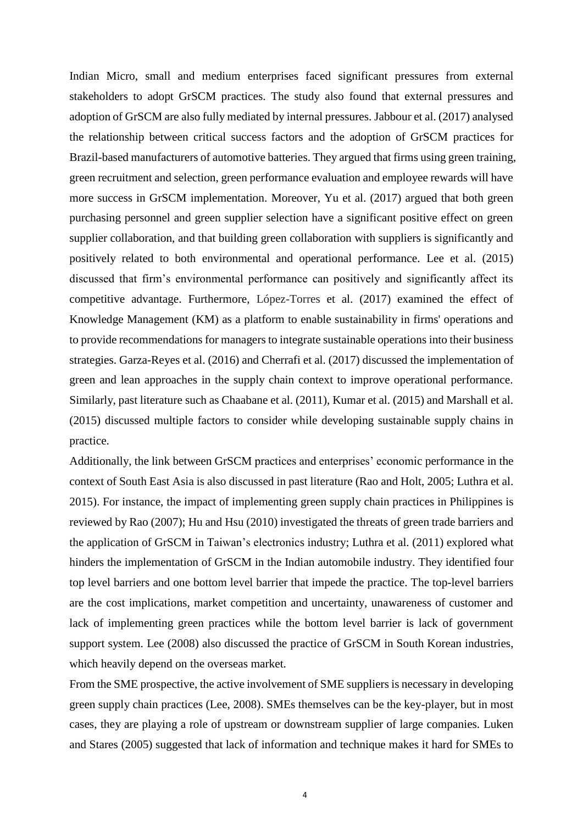Indian Micro, small and medium enterprises faced significant pressures from external stakeholders to adopt GrSCM practices. The study also found that external pressures and adoption of GrSCM are also fully mediated by internal pressures. Jabbour et al. (2017) analysed the relationship between critical success factors and the adoption of GrSCM practices for Brazil-based manufacturers of automotive batteries. They argued that firms using green training, green recruitment and selection, green performance evaluation and employee rewards will have more success in GrSCM implementation. Moreover, Yu et al. (2017) argued that both green purchasing personnel and green supplier selection have a significant positive effect on green supplier collaboration, and that building green collaboration with suppliers is significantly and positively related to both environmental and operational performance. Lee et al. (2015) discussed that firm's environmental performance can positively and significantly affect its competitive advantage. Furthermore, López-Torres et al. (2017) examined the effect of Knowledge Management (KM) as a platform to enable sustainability in firms' operations and to provide recommendations for managers to integrate sustainable operations into their business strategies. Garza-Reyes et al. (2016) and Cherrafi et al. (2017) discussed the implementation of green and lean approaches in the supply chain context to improve operational performance. Similarly, past literature such as Chaabane et al. (2011), Kumar et al. (2015) and Marshall et al. (2015) discussed multiple factors to consider while developing sustainable supply chains in practice.

Additionally, the link between GrSCM practices and enterprises' economic performance in the context of South East Asia is also discussed in past literature (Rao and Holt, 2005; Luthra et al. 2015). For instance, the impact of implementing green supply chain practices in Philippines is reviewed by Rao (2007); Hu and Hsu (2010) investigated the threats of green trade barriers and the application of GrSCM in Taiwan's electronics industry; Luthra et al. (2011) explored what hinders the implementation of GrSCM in the Indian automobile industry. They identified four top level barriers and one bottom level barrier that impede the practice. The top-level barriers are the cost implications, market competition and uncertainty, unawareness of customer and lack of implementing green practices while the bottom level barrier is lack of government support system. Lee (2008) also discussed the practice of GrSCM in South Korean industries, which heavily depend on the overseas market.

From the SME prospective, the active involvement of SME suppliers is necessary in developing green supply chain practices (Lee, 2008). SMEs themselves can be the key-player, but in most cases, they are playing a role of upstream or downstream supplier of large companies. Luken and Stares (2005) suggested that lack of information and technique makes it hard for SMEs to

4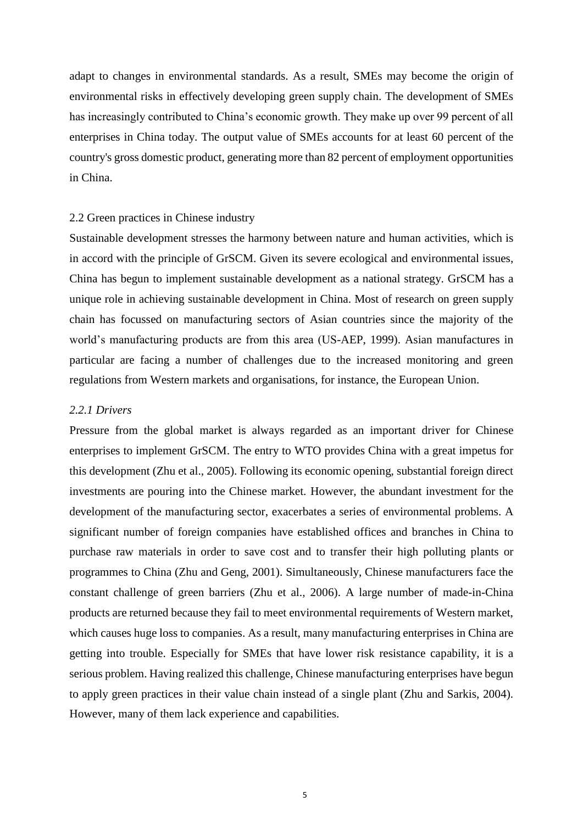adapt to changes in environmental standards. As a result, SMEs may become the origin of environmental risks in effectively developing green supply chain. The development of SMEs has increasingly contributed to China's economic growth. They make up over 99 percent of all enterprises in China today. The output value of SMEs accounts for at least 60 percent of the country's gross domestic product, generating more than 82 percent of employment opportunities in China.

#### 2.2 Green practices in Chinese industry

Sustainable development stresses the harmony between nature and human activities, which is in accord with the principle of GrSCM. Given its severe ecological and environmental issues, China has begun to implement sustainable development as a national strategy. GrSCM has a unique role in achieving sustainable development in China. Most of research on green supply chain has focussed on manufacturing sectors of Asian countries since the majority of the world's manufacturing products are from this area (US-AEP, 1999). Asian manufactures in particular are facing a number of challenges due to the increased monitoring and green regulations from Western markets and organisations, for instance, the European Union.

## *2.2.1 Drivers*

Pressure from the global market is always regarded as an important driver for Chinese enterprises to implement GrSCM. The entry to WTO provides China with a great impetus for this development (Zhu et al., 2005). Following its economic opening, substantial foreign direct investments are pouring into the Chinese market. However, the abundant investment for the development of the manufacturing sector, exacerbates a series of environmental problems. A significant number of foreign companies have established offices and branches in China to purchase raw materials in order to save cost and to transfer their high polluting plants or programmes to China (Zhu and Geng, 2001). Simultaneously, Chinese manufacturers face the constant challenge of green barriers (Zhu et al., 2006). A large number of made-in-China products are returned because they fail to meet environmental requirements of Western market, which causes huge loss to companies. As a result, many manufacturing enterprises in China are getting into trouble. Especially for SMEs that have lower risk resistance capability, it is a serious problem. Having realized this challenge, Chinese manufacturing enterprises have begun to apply green practices in their value chain instead of a single plant (Zhu and Sarkis, 2004). However, many of them lack experience and capabilities.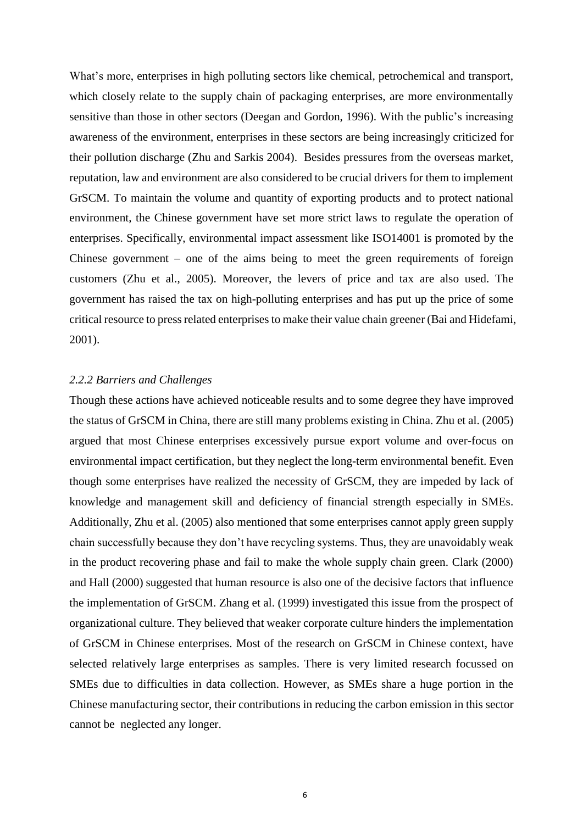What's more, enterprises in high polluting sectors like chemical, petrochemical and transport, which closely relate to the supply chain of packaging enterprises, are more environmentally sensitive than those in other sectors (Deegan and Gordon, 1996). With the public's increasing awareness of the environment, enterprises in these sectors are being increasingly criticized for their pollution discharge (Zhu and Sarkis 2004). Besides pressures from the overseas market, reputation, law and environment are also considered to be crucial drivers for them to implement GrSCM. To maintain the volume and quantity of exporting products and to protect national environment, the Chinese government have set more strict laws to regulate the operation of enterprises. Specifically, environmental impact assessment like ISO14001 is promoted by the Chinese government – one of the aims being to meet the green requirements of foreign customers (Zhu et al., 2005). Moreover, the levers of price and tax are also used. The government has raised the tax on high-polluting enterprises and has put up the price of some critical resource to press related enterprises to make their value chain greener (Bai and Hidefami, 2001).

## *2.2.2 Barriers and Challenges*

Though these actions have achieved noticeable results and to some degree they have improved the status of GrSCM in China, there are still many problems existing in China. Zhu et al. (2005) argued that most Chinese enterprises excessively pursue export volume and over-focus on environmental impact certification, but they neglect the long-term environmental benefit. Even though some enterprises have realized the necessity of GrSCM, they are impeded by lack of knowledge and management skill and deficiency of financial strength especially in SMEs. Additionally, Zhu et al. (2005) also mentioned that some enterprises cannot apply green supply chain successfully because they don't have recycling systems. Thus, they are unavoidably weak in the product recovering phase and fail to make the whole supply chain green. Clark (2000) and Hall (2000) suggested that human resource is also one of the decisive factors that influence the implementation of GrSCM. Zhang et al. (1999) investigated this issue from the prospect of organizational culture. They believed that weaker corporate culture hinders the implementation of GrSCM in Chinese enterprises. Most of the research on GrSCM in Chinese context, have selected relatively large enterprises as samples. There is very limited research focussed on SMEs due to difficulties in data collection. However, as SMEs share a huge portion in the Chinese manufacturing sector, their contributions in reducing the carbon emission in this sector cannot be neglected any longer.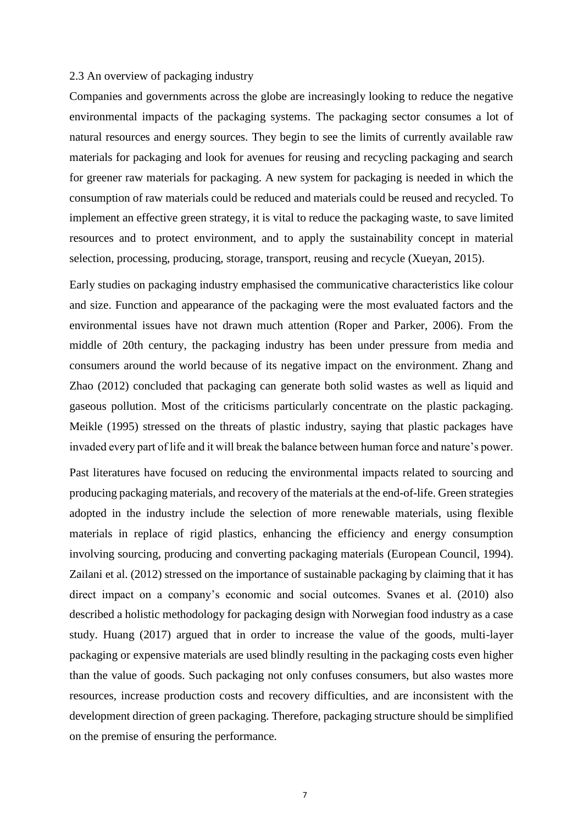#### 2.3 An overview of packaging industry

Companies and governments across the globe are increasingly looking to reduce the negative environmental impacts of the packaging systems. The packaging sector consumes a lot of natural resources and energy sources. They begin to see the limits of currently available raw materials for packaging and look for avenues for reusing and recycling packaging and search for greener raw materials for packaging. A new system for packaging is needed in which the consumption of raw materials could be reduced and materials could be reused and recycled. To implement an effective green strategy, it is vital to reduce the packaging waste, to save limited resources and to protect environment, and to apply the sustainability concept in material selection, processing, producing, storage, transport, reusing and recycle (Xueyan, 2015).

Early studies on packaging industry emphasised the communicative characteristics like colour and size. Function and appearance of the packaging were the most evaluated factors and the environmental issues have not drawn much attention (Roper and Parker, 2006). From the middle of 20th century, the packaging industry has been under pressure from media and consumers around the world because of its negative impact on the environment. Zhang and Zhao (2012) concluded that packaging can generate both solid wastes as well as liquid and gaseous pollution. Most of the criticisms particularly concentrate on the plastic packaging. Meikle (1995) stressed on the threats of plastic industry, saying that plastic packages have invaded every part of life and it will break the balance between human force and nature's power.

Past literatures have focused on reducing the environmental impacts related to sourcing and producing packaging materials, and recovery of the materials at the end-of-life. Green strategies adopted in the industry include the selection of more renewable materials, using flexible materials in replace of rigid plastics, enhancing the efficiency and energy consumption involving sourcing, producing and converting packaging materials (European Council, 1994). Zailani et al. (2012) stressed on the importance of sustainable packaging by claiming that it has direct impact on a company's economic and social outcomes. Svanes et al. (2010) also described a holistic methodology for packaging design with Norwegian food industry as a case study. Huang (2017) argued that in order to increase the value of the goods, multi-layer packaging or expensive materials are used blindly resulting in the packaging costs even higher than the value of goods. Such packaging not only confuses consumers, but also wastes more resources, increase production costs and recovery difficulties, and are inconsistent with the development direction of green packaging. Therefore, packaging structure should be simplified on the premise of ensuring the performance.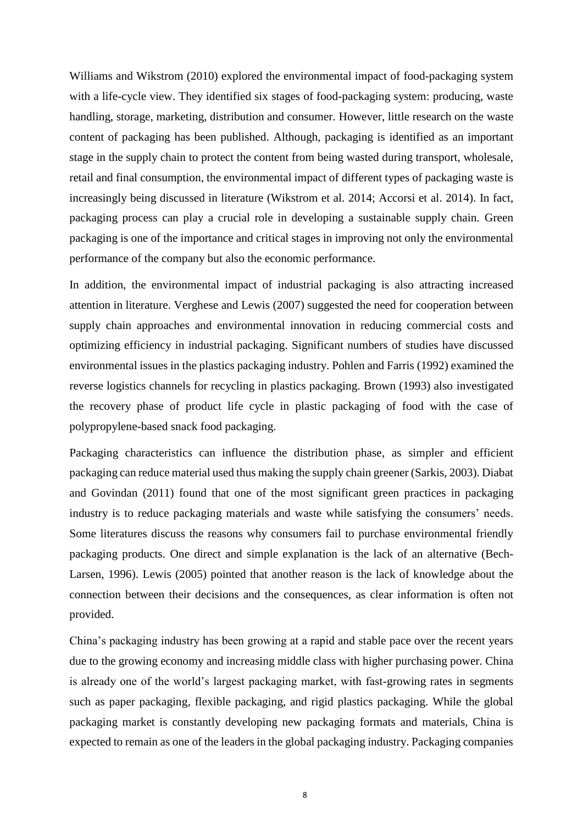Williams and Wikstrom (2010) explored the environmental impact of food-packaging system with a life-cycle view. They identified six stages of food-packaging system: producing, waste handling, storage, marketing, distribution and consumer. However, little research on the waste content of packaging has been published. Although, packaging is identified as an important stage in the supply chain to protect the content from being wasted during transport, wholesale, retail and final consumption, the environmental impact of different types of packaging waste is increasingly being discussed in literature (Wikstrom et al. 2014; Accorsi et al. 2014). In fact, packaging process can play a crucial role in developing a sustainable supply chain. Green packaging is one of the importance and critical stages in improving not only the environmental performance of the company but also the economic performance.

In addition, the environmental impact of industrial packaging is also attracting increased attention in literature. Verghese and Lewis (2007) suggested the need for cooperation between supply chain approaches and environmental innovation in reducing commercial costs and optimizing efficiency in industrial packaging. Significant numbers of studies have discussed environmental issues in the plastics packaging industry. Pohlen and Farris (1992) examined the reverse logistics channels for recycling in plastics packaging. Brown (1993) also investigated the recovery phase of product life cycle in plastic packaging of food with the case of polypropylene-based snack food packaging.

Packaging characteristics can influence the distribution phase, as simpler and efficient packaging can reduce material used thus making the supply chain greener (Sarkis, 2003). Diabat and Govindan (2011) found that one of the most significant green practices in packaging industry is to reduce packaging materials and waste while satisfying the consumers' needs. Some literatures discuss the reasons why consumers fail to purchase environmental friendly packaging products. One direct and simple explanation is the lack of an alternative (Bech-Larsen, 1996). Lewis (2005) pointed that another reason is the lack of knowledge about the connection between their decisions and the consequences, as clear information is often not provided.

China's packaging industry has been growing at a rapid and stable pace over the recent years due to the growing economy and increasing middle class with higher purchasing power. China is already one of the world's largest packaging market, with fast-growing rates in segments such as paper packaging, flexible packaging, and rigid plastics packaging. While the global packaging market is constantly developing new packaging formats and materials, China is expected to remain as one of the leaders in the global packaging industry. Packaging companies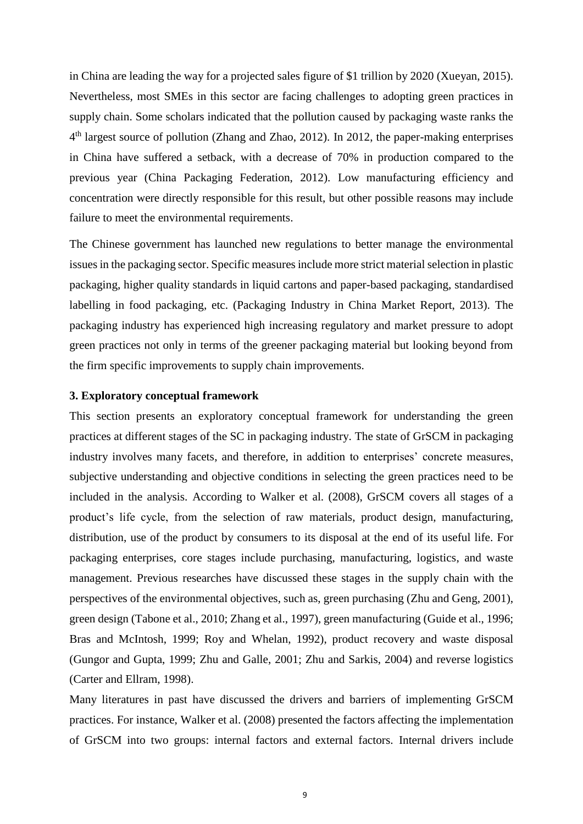in China are leading the way for a projected sales figure of \$1 trillion by 2020 (Xueyan, 2015). Nevertheless, most SMEs in this sector are facing challenges to adopting green practices in supply chain. Some scholars indicated that the pollution caused by packaging waste ranks the 4<sup>th</sup> largest source of pollution (Zhang and Zhao, 2012). In 2012, the paper-making enterprises in China have suffered a setback, with a decrease of 70% in production compared to the previous year (China Packaging Federation, 2012). Low manufacturing efficiency and concentration were directly responsible for this result, but other possible reasons may include failure to meet the environmental requirements.

The Chinese government has launched new regulations to better manage the environmental issues in the packaging sector. Specific measures include more strict material selection in plastic packaging, higher quality standards in liquid cartons and paper-based packaging, standardised labelling in food packaging, etc. (Packaging Industry in China Market Report, 2013). The packaging industry has experienced high increasing regulatory and market pressure to adopt green practices not only in terms of the greener packaging material but looking beyond from the firm specific improvements to supply chain improvements.

## **3. Exploratory conceptual framework**

This section presents an exploratory conceptual framework for understanding the green practices at different stages of the SC in packaging industry. The state of GrSCM in packaging industry involves many facets, and therefore, in addition to enterprises' concrete measures, subjective understanding and objective conditions in selecting the green practices need to be included in the analysis. According to Walker et al. (2008), GrSCM covers all stages of a product's life cycle, from the selection of raw materials, product design, manufacturing, distribution, use of the product by consumers to its disposal at the end of its useful life. For packaging enterprises, core stages include purchasing, manufacturing, logistics, and waste management. Previous researches have discussed these stages in the supply chain with the perspectives of the environmental objectives, such as, green purchasing (Zhu and Geng, 2001), green design (Tabone et al., 2010; Zhang et al., 1997), green manufacturing (Guide et al., 1996; Bras and McIntosh, 1999; Roy and Whelan, 1992), product recovery and waste disposal (Gungor and Gupta, 1999; Zhu and Galle, 2001; Zhu and Sarkis, 2004) and reverse logistics (Carter and Ellram, 1998).

Many literatures in past have discussed the drivers and barriers of implementing GrSCM practices. For instance, Walker et al. (2008) presented the factors affecting the implementation of GrSCM into two groups: internal factors and external factors. Internal drivers include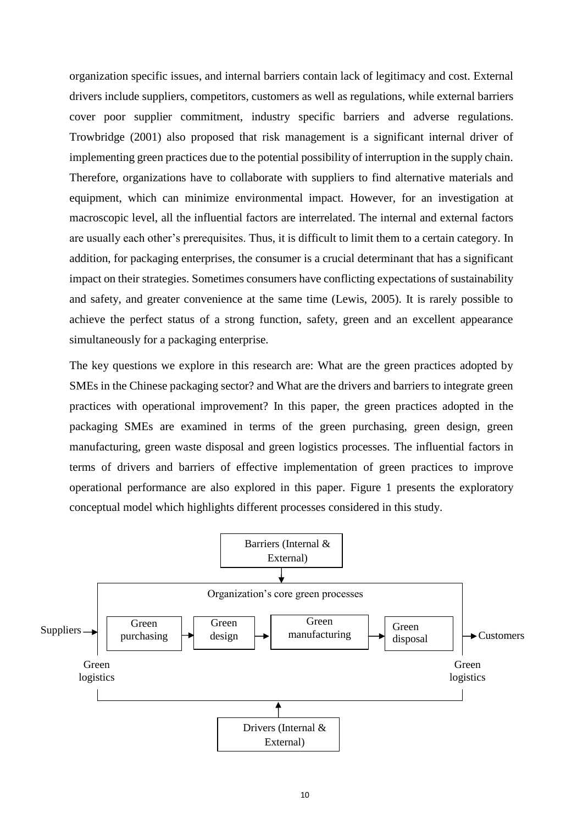organization specific issues, and internal barriers contain lack of legitimacy and cost. External drivers include suppliers, competitors, customers as well as regulations, while external barriers cover poor supplier commitment, industry specific barriers and adverse regulations. Trowbridge (2001) also proposed that risk management is a significant internal driver of implementing green practices due to the potential possibility of interruption in the supply chain. Therefore, organizations have to collaborate with suppliers to find alternative materials and equipment, which can minimize environmental impact. However, for an investigation at macroscopic level, all the influential factors are interrelated. The internal and external factors are usually each other's prerequisites. Thus, it is difficult to limit them to a certain category. In addition, for packaging enterprises, the consumer is a crucial determinant that has a significant impact on their strategies. Sometimes consumers have conflicting expectations of sustainability and safety, and greater convenience at the same time (Lewis, 2005). It is rarely possible to achieve the perfect status of a strong function, safety, green and an excellent appearance simultaneously for a packaging enterprise.

The key questions we explore in this research are: What are the green practices adopted by SMEs in the Chinese packaging sector? and What are the drivers and barriers to integrate green practices with operational improvement? In this paper, the green practices adopted in the packaging SMEs are examined in terms of the green purchasing, green design, green manufacturing, green waste disposal and green logistics processes. The influential factors in terms of drivers and barriers of effective implementation of green practices to improve operational performance are also explored in this paper. Figure 1 presents the exploratory conceptual model which highlights different processes considered in this study.

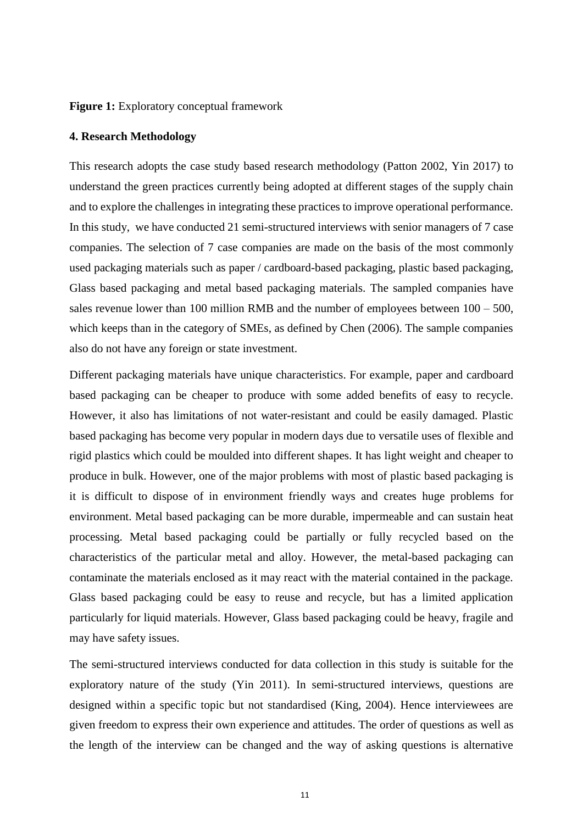**Figure 1:** Exploratory conceptual framework

#### **4. Research Methodology**

This research adopts the case study based research methodology (Patton 2002, Yin 2017) to understand the green practices currently being adopted at different stages of the supply chain and to explore the challenges in integrating these practices to improve operational performance. In this study, we have conducted 21 semi-structured interviews with senior managers of 7 case companies. The selection of 7 case companies are made on the basis of the most commonly used packaging materials such as paper / cardboard-based packaging, plastic based packaging, Glass based packaging and metal based packaging materials. The sampled companies have sales revenue lower than 100 million RMB and the number of employees between  $100 - 500$ , which keeps than in the category of SMEs, as defined by Chen (2006). The sample companies also do not have any foreign or state investment.

Different packaging materials have unique characteristics. For example, paper and cardboard based packaging can be cheaper to produce with some added benefits of easy to recycle. However, it also has limitations of not water-resistant and could be easily damaged. Plastic based packaging has become very popular in modern days due to versatile uses of flexible and rigid plastics which could be moulded into different shapes. It has light weight and cheaper to produce in bulk. However, one of the major problems with most of plastic based packaging is it is difficult to dispose of in environment friendly ways and creates huge problems for environment. Metal based packaging can be more durable, impermeable and can sustain heat processing. Metal based packaging could be partially or fully recycled based on the characteristics of the particular metal and alloy. However, the metal-based packaging can contaminate the materials enclosed as it may react with the material contained in the package. Glass based packaging could be easy to reuse and recycle, but has a limited application particularly for liquid materials. However, Glass based packaging could be heavy, fragile and may have safety issues.

The semi-structured interviews conducted for data collection in this study is suitable for the exploratory nature of the study (Yin 2011). In semi-structured interviews, questions are designed within a specific topic but not standardised (King, 2004). Hence interviewees are given freedom to express their own experience and attitudes. The order of questions as well as the length of the interview can be changed and the way of asking questions is alternative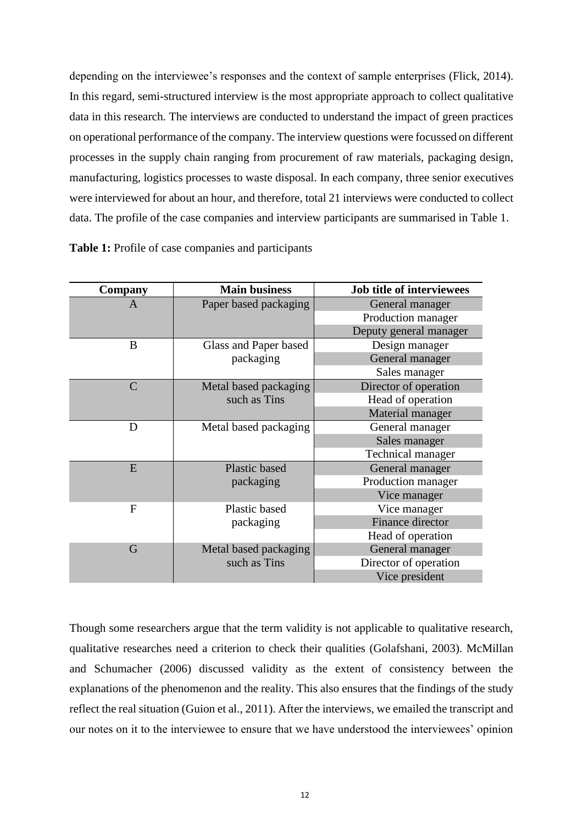depending on the interviewee's responses and the context of sample enterprises (Flick, 2014). In this regard, semi-structured interview is the most appropriate approach to collect qualitative data in this research. The interviews are conducted to understand the impact of green practices on operational performance of the company. The interview questions were focussed on different processes in the supply chain ranging from procurement of raw materials, packaging design, manufacturing, logistics processes to waste disposal. In each company, three senior executives were interviewed for about an hour, and therefore, total 21 interviews were conducted to collect data. The profile of the case companies and interview participants are summarised in Table 1.

| Company      | <b>Main business</b>  | Job title of interviewees |  |  |
|--------------|-----------------------|---------------------------|--|--|
| A            | Paper based packaging | General manager           |  |  |
|              |                       | Production manager        |  |  |
|              |                       | Deputy general manager    |  |  |
| B            | Glass and Paper based | Design manager            |  |  |
|              | packaging             | General manager           |  |  |
|              |                       | Sales manager             |  |  |
| $\mathsf{C}$ | Metal based packaging | Director of operation     |  |  |
|              | such as Tins          | Head of operation         |  |  |
|              |                       | Material manager          |  |  |
| D            | Metal based packaging | General manager           |  |  |
|              |                       | Sales manager             |  |  |
|              |                       | Technical manager         |  |  |
| E            | <b>Plastic based</b>  | General manager           |  |  |
|              | packaging             | Production manager        |  |  |
|              |                       | Vice manager              |  |  |
| $\mathbf F$  | Plastic based         | Vice manager              |  |  |
|              | packaging             | Finance director          |  |  |
|              |                       | Head of operation         |  |  |
| G            | Metal based packaging | General manager           |  |  |
|              | such as Tins          | Director of operation     |  |  |
|              |                       | Vice president            |  |  |

**Table 1:** Profile of case companies and participants

Though some researchers argue that the term validity is not applicable to qualitative research, qualitative researches need a criterion to check their qualities (Golafshani, 2003). McMillan and Schumacher (2006) discussed validity as the extent of consistency between the explanations of the phenomenon and the reality. This also ensures that the findings of the study reflect the real situation (Guion et al., 2011). After the interviews, we emailed the transcript and our notes on it to the interviewee to ensure that we have understood the interviewees' opinion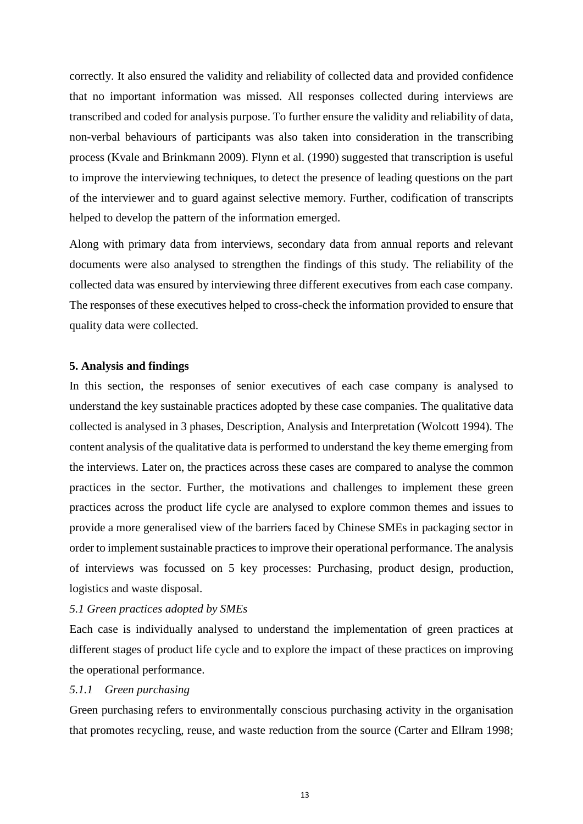correctly. It also ensured the validity and reliability of collected data and provided confidence that no important information was missed. All responses collected during interviews are transcribed and coded for analysis purpose. To further ensure the validity and reliability of data, non-verbal behaviours of participants was also taken into consideration in the transcribing process (Kvale and Brinkmann 2009). Flynn et al. (1990) suggested that transcription is useful to improve the interviewing techniques, to detect the presence of leading questions on the part of the interviewer and to guard against selective memory. Further, codification of transcripts helped to develop the pattern of the information emerged.

Along with primary data from interviews, secondary data from annual reports and relevant documents were also analysed to strengthen the findings of this study. The reliability of the collected data was ensured by interviewing three different executives from each case company. The responses of these executives helped to cross-check the information provided to ensure that quality data were collected.

### **5. Analysis and findings**

In this section, the responses of senior executives of each case company is analysed to understand the key sustainable practices adopted by these case companies. The qualitative data collected is analysed in 3 phases, Description, Analysis and Interpretation (Wolcott 1994). The content analysis of the qualitative data is performed to understand the key theme emerging from the interviews. Later on, the practices across these cases are compared to analyse the common practices in the sector. Further, the motivations and challenges to implement these green practices across the product life cycle are analysed to explore common themes and issues to provide a more generalised view of the barriers faced by Chinese SMEs in packaging sector in order to implement sustainable practices to improve their operational performance. The analysis of interviews was focussed on 5 key processes: Purchasing, product design, production, logistics and waste disposal.

### *5.1 Green practices adopted by SMEs*

Each case is individually analysed to understand the implementation of green practices at different stages of product life cycle and to explore the impact of these practices on improving the operational performance.

## *5.1.1 Green purchasing*

Green purchasing refers to environmentally conscious purchasing activity in the organisation that promotes recycling, reuse, and waste reduction from the source (Carter and Ellram 1998;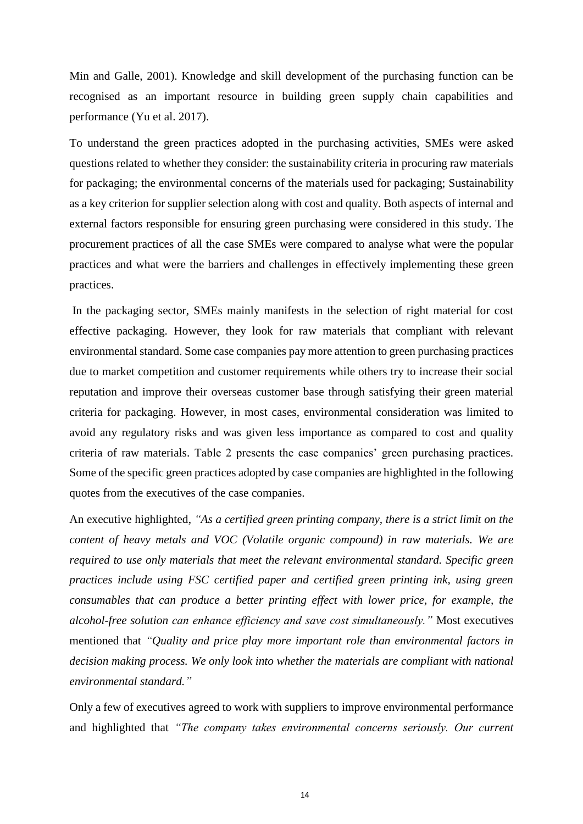Min and Galle, 2001). Knowledge and skill development of the purchasing function can be recognised as an important resource in building green supply chain capabilities and performance (Yu et al. 2017).

To understand the green practices adopted in the purchasing activities, SMEs were asked questions related to whether they consider: the sustainability criteria in procuring raw materials for packaging; the environmental concerns of the materials used for packaging; Sustainability as a key criterion for supplier selection along with cost and quality. Both aspects of internal and external factors responsible for ensuring green purchasing were considered in this study. The procurement practices of all the case SMEs were compared to analyse what were the popular practices and what were the barriers and challenges in effectively implementing these green practices.

In the packaging sector, SMEs mainly manifests in the selection of right material for cost effective packaging. However, they look for raw materials that compliant with relevant environmental standard. Some case companies pay more attention to green purchasing practices due to market competition and customer requirements while others try to increase their social reputation and improve their overseas customer base through satisfying their green material criteria for packaging. However, in most cases, environmental consideration was limited to avoid any regulatory risks and was given less importance as compared to cost and quality criteria of raw materials. Table 2 presents the case companies' green purchasing practices. Some of the specific green practices adopted by case companies are highlighted in the following quotes from the executives of the case companies.

An executive highlighted, *"As a certified green printing company, there is a strict limit on the content of heavy metals and VOC (Volatile organic compound) in raw materials. We are required to use only materials that meet the relevant environmental standard. Specific green practices include using FSC certified paper and certified green printing ink, using green consumables that can produce a better printing effect with lower price, for example, the alcohol-free solution can enhance efficiency and save cost simultaneously."* Most executives mentioned that *"Quality and price play more important role than environmental factors in decision making process. We only look into whether the materials are compliant with national environmental standard."*

Only a few of executives agreed to work with suppliers to improve environmental performance and highlighted that *"The company takes environmental concerns seriously. Our current*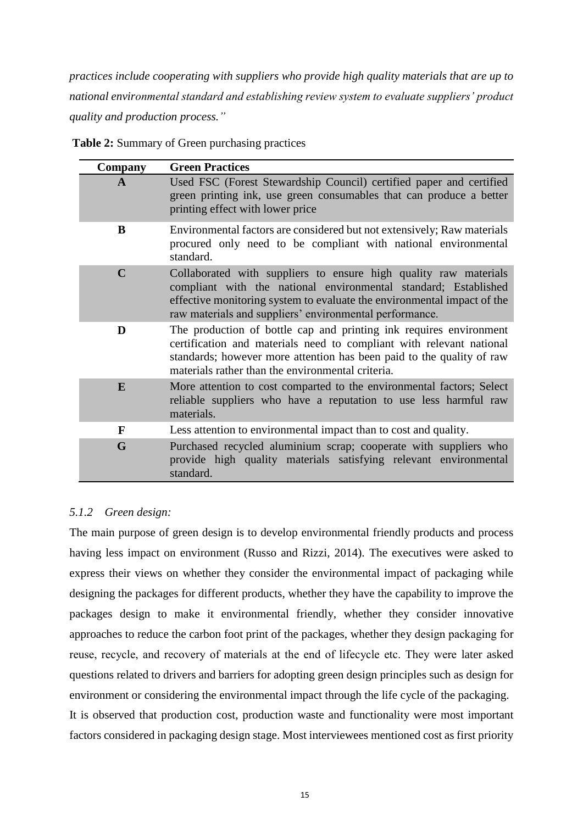*practices include cooperating with suppliers who provide high quality materials that are up to national environmental standard and establishing review system to evaluate suppliers' product quality and production process."*

| <b>Company</b> | <b>Green Practices</b>                                                                                                                                                                                                                                                    |
|----------------|---------------------------------------------------------------------------------------------------------------------------------------------------------------------------------------------------------------------------------------------------------------------------|
| $\mathbf{A}$   | Used FSC (Forest Stewardship Council) certified paper and certified<br>green printing ink, use green consumables that can produce a better<br>printing effect with lower price                                                                                            |
| B              | Environmental factors are considered but not extensively; Raw materials<br>procured only need to be compliant with national environmental<br>standard.                                                                                                                    |
| $\mathbf C$    | Collaborated with suppliers to ensure high quality raw materials<br>compliant with the national environmental standard; Established<br>effective monitoring system to evaluate the environmental impact of the<br>raw materials and suppliers' environmental performance. |
| D              | The production of bottle cap and printing ink requires environment<br>certification and materials need to compliant with relevant national<br>standards; however more attention has been paid to the quality of raw<br>materials rather than the environmental criteria.  |
| E              | More attention to cost comparted to the environmental factors; Select<br>reliable suppliers who have a reputation to use less harmful raw<br>materials.                                                                                                                   |
| F              | Less attention to environmental impact than to cost and quality.                                                                                                                                                                                                          |
| G              | Purchased recycled aluminium scrap; cooperate with suppliers who<br>provide high quality materials satisfying relevant environmental<br>standard.                                                                                                                         |

**Table 2:** Summary of Green purchasing practices

# *5.1.2 Green design:*

The main purpose of green design is to develop environmental friendly products and process having less impact on environment (Russo and Rizzi, 2014). The executives were asked to express their views on whether they consider the environmental impact of packaging while designing the packages for different products, whether they have the capability to improve the packages design to make it environmental friendly, whether they consider innovative approaches to reduce the carbon foot print of the packages, whether they design packaging for reuse, recycle, and recovery of materials at the end of lifecycle etc. They were later asked questions related to drivers and barriers for adopting green design principles such as design for environment or considering the environmental impact through the life cycle of the packaging. It is observed that production cost, production waste and functionality were most important factors considered in packaging design stage. Most interviewees mentioned cost as first priority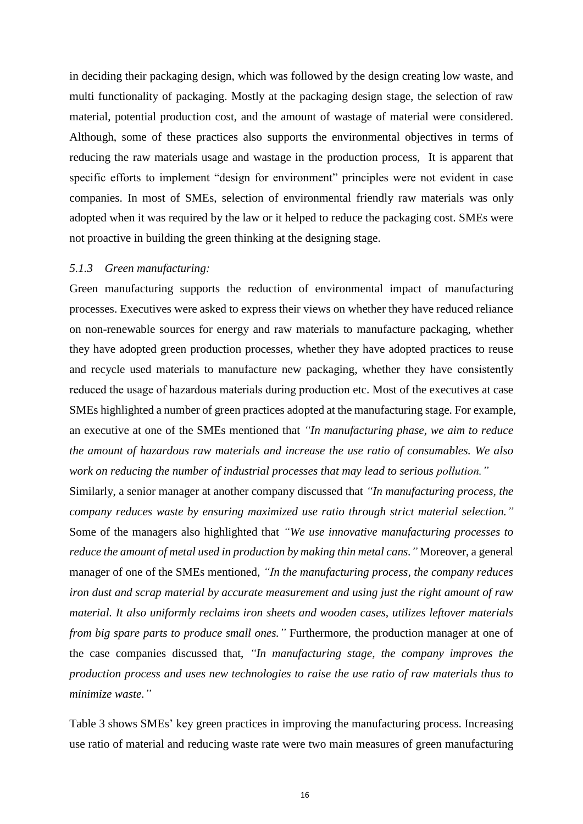in deciding their packaging design, which was followed by the design creating low waste, and multi functionality of packaging. Mostly at the packaging design stage, the selection of raw material, potential production cost, and the amount of wastage of material were considered. Although, some of these practices also supports the environmental objectives in terms of reducing the raw materials usage and wastage in the production process, It is apparent that specific efforts to implement "design for environment" principles were not evident in case companies. In most of SMEs, selection of environmental friendly raw materials was only adopted when it was required by the law or it helped to reduce the packaging cost. SMEs were not proactive in building the green thinking at the designing stage.

#### *5.1.3 Green manufacturing:*

Green manufacturing supports the reduction of environmental impact of manufacturing processes. Executives were asked to express their views on whether they have reduced reliance on non-renewable sources for energy and raw materials to manufacture packaging, whether they have adopted green production processes, whether they have adopted practices to reuse and recycle used materials to manufacture new packaging, whether they have consistently reduced the usage of hazardous materials during production etc. Most of the executives at case SMEs highlighted a number of green practices adopted at the manufacturing stage. For example, an executive at one of the SMEs mentioned that *"In manufacturing phase, we aim to reduce the amount of hazardous raw materials and increase the use ratio of consumables. We also work on reducing the number of industrial processes that may lead to serious pollution."*

Similarly, a senior manager at another company discussed that *"In manufacturing process, the company reduces waste by ensuring maximized use ratio through strict material selection."* Some of the managers also highlighted that *"We use innovative manufacturing processes to reduce the amount of metal used in production by making thin metal cans."* Moreover, a general manager of one of the SMEs mentioned, *"In the manufacturing process, the company reduces iron dust and scrap material by accurate measurement and using just the right amount of raw material. It also uniformly reclaims iron sheets and wooden cases, utilizes leftover materials from big spare parts to produce small ones."* Furthermore, the production manager at one of the case companies discussed that, *"In manufacturing stage, the company improves the production process and uses new technologies to raise the use ratio of raw materials thus to minimize waste."*

Table 3 shows SMEs' key green practices in improving the manufacturing process. Increasing use ratio of material and reducing waste rate were two main measures of green manufacturing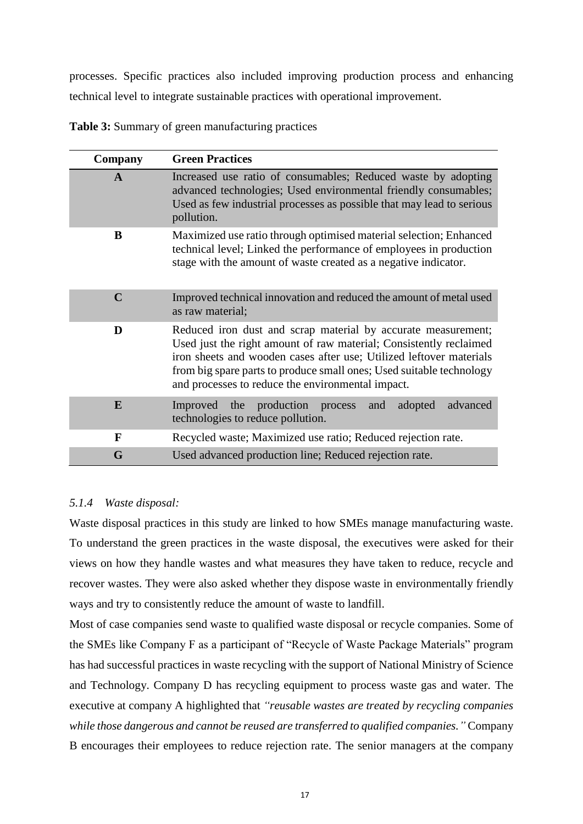processes. Specific practices also included improving production process and enhancing technical level to integrate sustainable practices with operational improvement.

| Company     | <b>Green Practices</b>                                                                                                                                                                                                                                                                                                                  |  |  |  |  |
|-------------|-----------------------------------------------------------------------------------------------------------------------------------------------------------------------------------------------------------------------------------------------------------------------------------------------------------------------------------------|--|--|--|--|
| A           | Increased use ratio of consumables; Reduced waste by adopting<br>advanced technologies; Used environmental friendly consumables;<br>Used as few industrial processes as possible that may lead to serious<br>pollution.                                                                                                                 |  |  |  |  |
| B           | Maximized use ratio through optimised material selection; Enhanced<br>technical level; Linked the performance of employees in production<br>stage with the amount of waste created as a negative indicator.                                                                                                                             |  |  |  |  |
| $\mathbf C$ | Improved technical innovation and reduced the amount of metal used<br>as raw material;                                                                                                                                                                                                                                                  |  |  |  |  |
| D           | Reduced iron dust and scrap material by accurate measurement;<br>Used just the right amount of raw material; Consistently reclaimed<br>iron sheets and wooden cases after use; Utilized leftover materials<br>from big spare parts to produce small ones; Used suitable technology<br>and processes to reduce the environmental impact. |  |  |  |  |
| E           | Improved the production process<br>advanced<br>adopted<br>and<br>technologies to reduce pollution.                                                                                                                                                                                                                                      |  |  |  |  |
| F           | Recycled waste; Maximized use ratio; Reduced rejection rate.                                                                                                                                                                                                                                                                            |  |  |  |  |
| G           | Used advanced production line; Reduced rejection rate.                                                                                                                                                                                                                                                                                  |  |  |  |  |

**Table 3:** Summary of green manufacturing practices

# *5.1.4 Waste disposal:*

Waste disposal practices in this study are linked to how SMEs manage manufacturing waste. To understand the green practices in the waste disposal, the executives were asked for their views on how they handle wastes and what measures they have taken to reduce, recycle and recover wastes. They were also asked whether they dispose waste in environmentally friendly ways and try to consistently reduce the amount of waste to landfill.

Most of case companies send waste to qualified waste disposal or recycle companies. Some of the SMEs like Company F as a participant of "Recycle of Waste Package Materials" program has had successful practices in waste recycling with the support of National Ministry of Science and Technology. Company D has recycling equipment to process waste gas and water. The executive at company A highlighted that *"reusable wastes are treated by recycling companies while those dangerous and cannot be reused are transferred to qualified companies."* Company B encourages their employees to reduce rejection rate. The senior managers at the company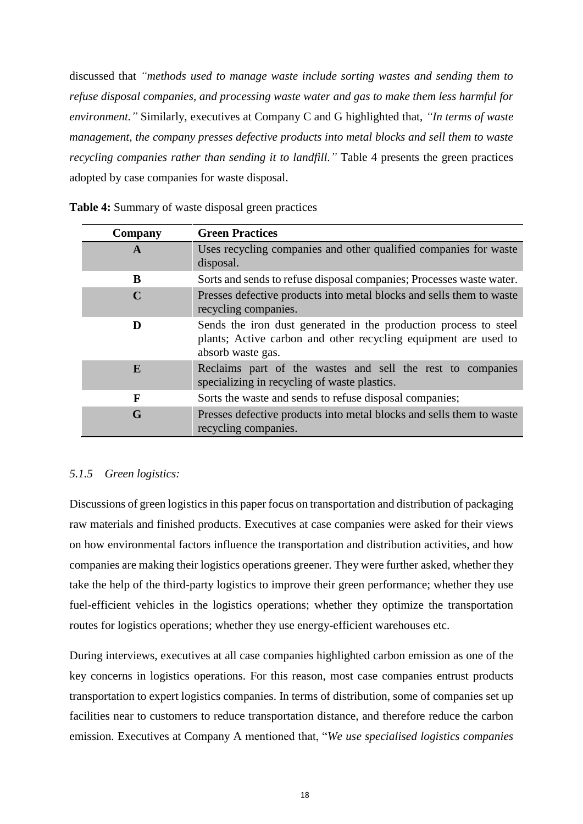discussed that *"methods used to manage waste include sorting wastes and sending them to refuse disposal companies, and processing waste water and gas to make them less harmful for environment."* Similarly, executives at Company C and G highlighted that, *"In terms of waste management, the company presses defective products into metal blocks and sell them to waste recycling companies rather than sending it to landfill."* Table 4 presents the green practices adopted by case companies for waste disposal.

| Company     | <b>Green Practices</b>                                                                                                                                   |
|-------------|----------------------------------------------------------------------------------------------------------------------------------------------------------|
| A           | Uses recycling companies and other qualified companies for waste<br>disposal.                                                                            |
| B           | Sorts and sends to refuse disposal companies; Processes waste water.                                                                                     |
| $\mathbf C$ | Presses defective products into metal blocks and sells them to waste<br>recycling companies.                                                             |
| D           | Sends the iron dust generated in the production process to steel<br>plants; Active carbon and other recycling equipment are used to<br>absorb waste gas. |
| E           | Reclaims part of the wastes and sell the rest to companies<br>specializing in recycling of waste plastics.                                               |
| F           | Sorts the waste and sends to refuse disposal companies;                                                                                                  |
| G           | Presses defective products into metal blocks and sells them to waste<br>recycling companies.                                                             |

| Table 4: Summary of waste disposal green practices |  |  |
|----------------------------------------------------|--|--|
|                                                    |  |  |

## *5.1.5 Green logistics:*

Discussions of green logistics in this paper focus on transportation and distribution of packaging raw materials and finished products. Executives at case companies were asked for their views on how environmental factors influence the transportation and distribution activities, and how companies are making their logistics operations greener. They were further asked, whether they take the help of the third-party logistics to improve their green performance; whether they use fuel-efficient vehicles in the logistics operations; whether they optimize the transportation routes for logistics operations; whether they use energy-efficient warehouses etc.

During interviews, executives at all case companies highlighted carbon emission as one of the key concerns in logistics operations. For this reason, most case companies entrust products transportation to expert logistics companies. In terms of distribution, some of companies set up facilities near to customers to reduce transportation distance, and therefore reduce the carbon emission. Executives at Company A mentioned that, "*We use specialised logistics companies*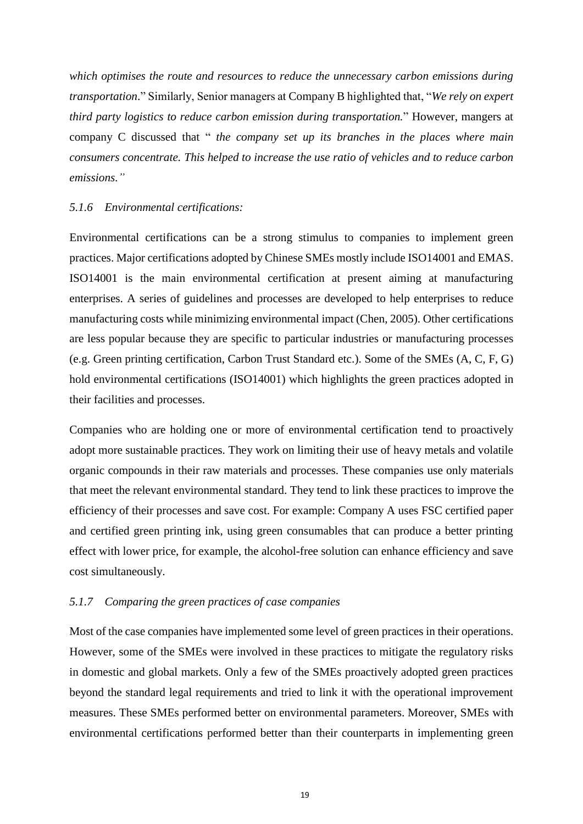*which optimises the route and resources to reduce the unnecessary carbon emissions during transportation*." Similarly, Senior managers at Company B highlighted that, "*We rely on expert third party logistics to reduce carbon emission during transportation.*" However, mangers at company C discussed that " *the company set up its branches in the places where main consumers concentrate. This helped to increase the use ratio of vehicles and to reduce carbon emissions."*

## *5.1.6 Environmental certifications:*

Environmental certifications can be a strong stimulus to companies to implement green practices. Major certifications adopted by Chinese SMEs mostly include ISO14001 and EMAS. ISO14001 is the main environmental certification at present aiming at manufacturing enterprises. A series of guidelines and processes are developed to help enterprises to reduce manufacturing costs while minimizing environmental impact (Chen, 2005). Other certifications are less popular because they are specific to particular industries or manufacturing processes (e.g. Green printing certification, Carbon Trust Standard etc.). Some of the SMEs (A, C, F, G) hold environmental certifications (ISO14001) which highlights the green practices adopted in their facilities and processes.

Companies who are holding one or more of environmental certification tend to proactively adopt more sustainable practices. They work on limiting their use of heavy metals and volatile organic compounds in their raw materials and processes. These companies use only materials that meet the relevant environmental standard. They tend to link these practices to improve the efficiency of their processes and save cost. For example: Company A uses FSC certified paper and certified green printing ink, using green consumables that can produce a better printing effect with lower price, for example, the alcohol-free solution can enhance efficiency and save cost simultaneously.

### *5.1.7 Comparing the green practices of case companies*

Most of the case companies have implemented some level of green practices in their operations. However, some of the SMEs were involved in these practices to mitigate the regulatory risks in domestic and global markets. Only a few of the SMEs proactively adopted green practices beyond the standard legal requirements and tried to link it with the operational improvement measures. These SMEs performed better on environmental parameters. Moreover, SMEs with environmental certifications performed better than their counterparts in implementing green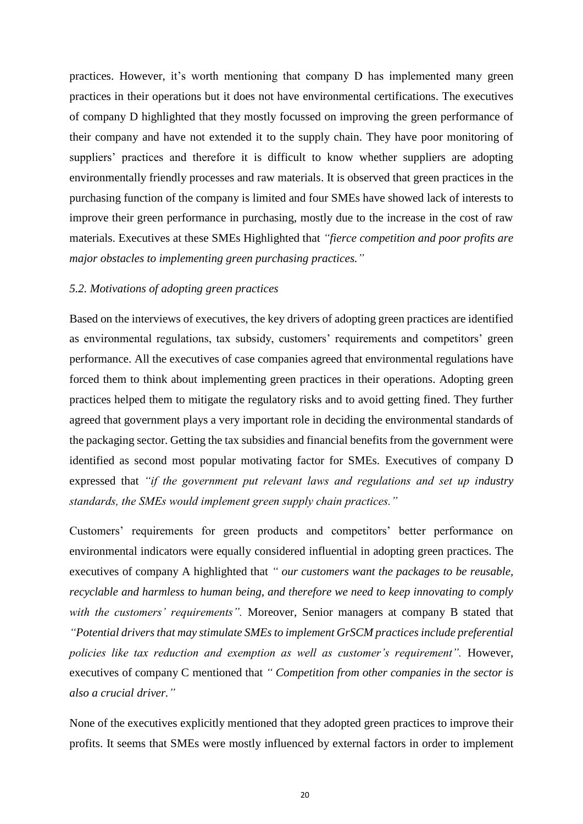practices. However, it's worth mentioning that company D has implemented many green practices in their operations but it does not have environmental certifications. The executives of company D highlighted that they mostly focussed on improving the green performance of their company and have not extended it to the supply chain. They have poor monitoring of suppliers' practices and therefore it is difficult to know whether suppliers are adopting environmentally friendly processes and raw materials. It is observed that green practices in the purchasing function of the company is limited and four SMEs have showed lack of interests to improve their green performance in purchasing, mostly due to the increase in the cost of raw materials. Executives at these SMEs Highlighted that *"fierce competition and poor profits are major obstacles to implementing green purchasing practices."*

## *5.2. Motivations of adopting green practices*

Based on the interviews of executives, the key drivers of adopting green practices are identified as environmental regulations, tax subsidy, customers' requirements and competitors' green performance. All the executives of case companies agreed that environmental regulations have forced them to think about implementing green practices in their operations. Adopting green practices helped them to mitigate the regulatory risks and to avoid getting fined. They further agreed that government plays a very important role in deciding the environmental standards of the packaging sector. Getting the tax subsidies and financial benefits from the government were identified as second most popular motivating factor for SMEs. Executives of company D expressed that *"if the government put relevant laws and regulations and set up industry standards, the SMEs would implement green supply chain practices."*

Customers' requirements for green products and competitors' better performance on environmental indicators were equally considered influential in adopting green practices. The executives of company A highlighted that *" our customers want the packages to be reusable, recyclable and harmless to human being, and therefore we need to keep innovating to comply with the customers' requirements".* Moreover, Senior managers at company B stated that *"Potential drivers that may stimulate SMEs to implement GrSCM practices include preferential policies like tax reduction and exemption as well as customer's requirement".* However, executives of company C mentioned that *" Competition from other companies in the sector is also a crucial driver."*

None of the executives explicitly mentioned that they adopted green practices to improve their profits. It seems that SMEs were mostly influenced by external factors in order to implement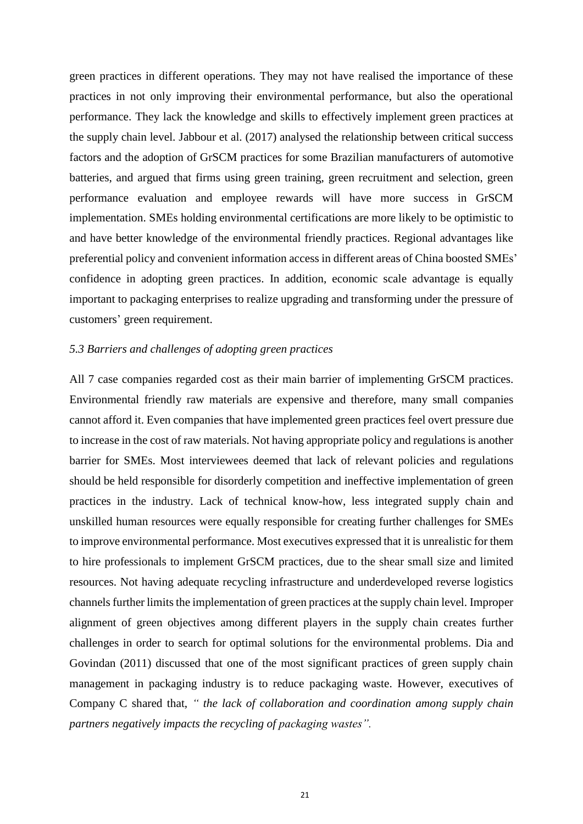green practices in different operations. They may not have realised the importance of these practices in not only improving their environmental performance, but also the operational performance. They lack the knowledge and skills to effectively implement green practices at the supply chain level. Jabbour et al. (2017) analysed the relationship between critical success factors and the adoption of GrSCM practices for some Brazilian manufacturers of automotive batteries, and argued that firms using green training, green recruitment and selection, green performance evaluation and employee rewards will have more success in GrSCM implementation. SMEs holding environmental certifications are more likely to be optimistic to and have better knowledge of the environmental friendly practices. Regional advantages like preferential policy and convenient information access in different areas of China boosted SMEs' confidence in adopting green practices. In addition, economic scale advantage is equally important to packaging enterprises to realize upgrading and transforming under the pressure of customers' green requirement.

#### *5.3 Barriers and challenges of adopting green practices*

All 7 case companies regarded cost as their main barrier of implementing GrSCM practices. Environmental friendly raw materials are expensive and therefore, many small companies cannot afford it. Even companies that have implemented green practices feel overt pressure due to increase in the cost of raw materials. Not having appropriate policy and regulations is another barrier for SMEs. Most interviewees deemed that lack of relevant policies and regulations should be held responsible for disorderly competition and ineffective implementation of green practices in the industry. Lack of technical know-how, less integrated supply chain and unskilled human resources were equally responsible for creating further challenges for SMEs to improve environmental performance. Most executives expressed that it is unrealistic for them to hire professionals to implement GrSCM practices, due to the shear small size and limited resources. Not having adequate recycling infrastructure and underdeveloped reverse logistics channels further limits the implementation of green practices at the supply chain level. Improper alignment of green objectives among different players in the supply chain creates further challenges in order to search for optimal solutions for the environmental problems. Dia and Govindan (2011) discussed that one of the most significant practices of green supply chain management in packaging industry is to reduce packaging waste. However, executives of Company C shared that, *" the lack of collaboration and coordination among supply chain partners negatively impacts the recycling of packaging wastes".*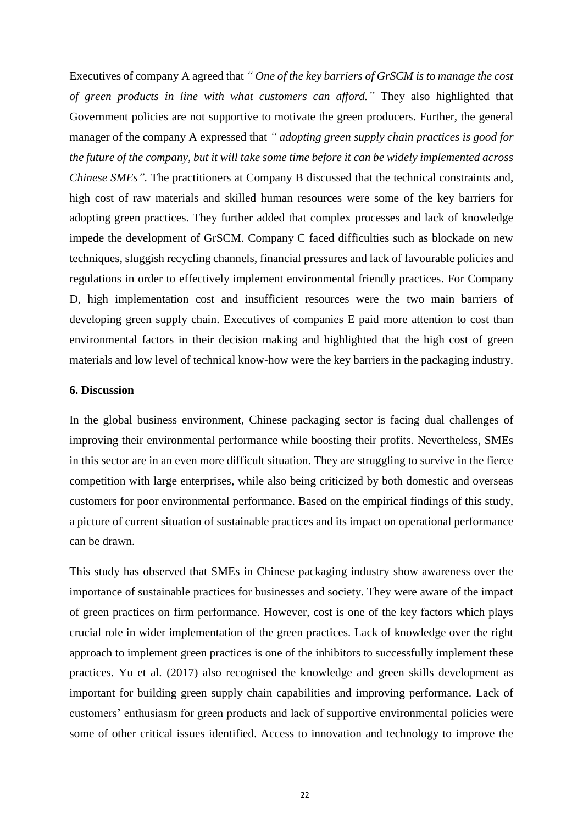Executives of company A agreed that *" One of the key barriers of GrSCM is to manage the cost of green products in line with what customers can afford."* They also highlighted that Government policies are not supportive to motivate the green producers. Further, the general manager of the company A expressed that *" adopting green supply chain practices is good for the future of the company, but it will take some time before it can be widely implemented across Chinese SMEs".* The practitioners at Company B discussed that the technical constraints and, high cost of raw materials and skilled human resources were some of the key barriers for adopting green practices. They further added that complex processes and lack of knowledge impede the development of GrSCM. Company C faced difficulties such as blockade on new techniques, sluggish recycling channels, financial pressures and lack of favourable policies and regulations in order to effectively implement environmental friendly practices. For Company D, high implementation cost and insufficient resources were the two main barriers of developing green supply chain. Executives of companies E paid more attention to cost than environmental factors in their decision making and highlighted that the high cost of green materials and low level of technical know-how were the key barriers in the packaging industry.

#### **6. Discussion**

In the global business environment, Chinese packaging sector is facing dual challenges of improving their environmental performance while boosting their profits. Nevertheless, SMEs in this sector are in an even more difficult situation. They are struggling to survive in the fierce competition with large enterprises, while also being criticized by both domestic and overseas customers for poor environmental performance. Based on the empirical findings of this study, a picture of current situation of sustainable practices and its impact on operational performance can be drawn.

This study has observed that SMEs in Chinese packaging industry show awareness over the importance of sustainable practices for businesses and society. They were aware of the impact of green practices on firm performance. However, cost is one of the key factors which plays crucial role in wider implementation of the green practices. Lack of knowledge over the right approach to implement green practices is one of the inhibitors to successfully implement these practices. Yu et al. (2017) also recognised the knowledge and green skills development as important for building green supply chain capabilities and improving performance. Lack of customers' enthusiasm for green products and lack of supportive environmental policies were some of other critical issues identified. Access to innovation and technology to improve the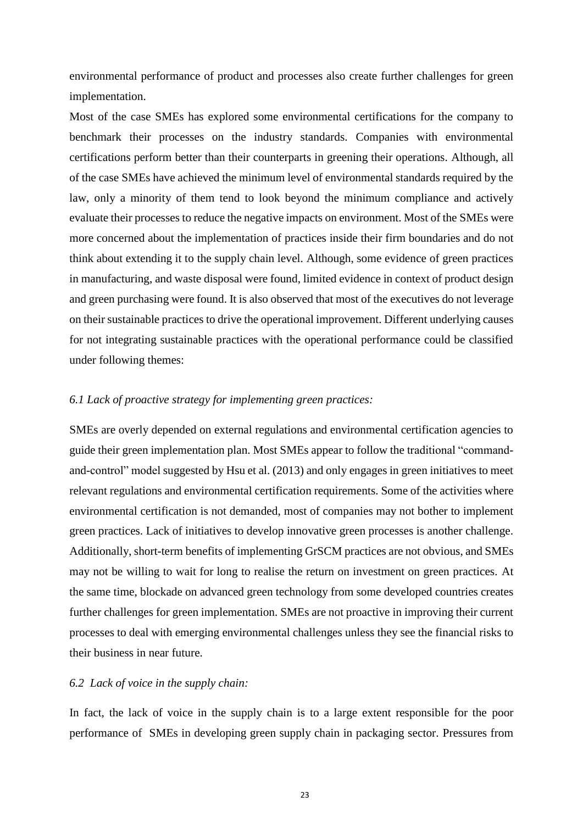environmental performance of product and processes also create further challenges for green implementation.

Most of the case SMEs has explored some environmental certifications for the company to benchmark their processes on the industry standards. Companies with environmental certifications perform better than their counterparts in greening their operations. Although, all of the case SMEs have achieved the minimum level of environmental standards required by the law, only a minority of them tend to look beyond the minimum compliance and actively evaluate their processes to reduce the negative impacts on environment. Most of the SMEs were more concerned about the implementation of practices inside their firm boundaries and do not think about extending it to the supply chain level. Although, some evidence of green practices in manufacturing, and waste disposal were found, limited evidence in context of product design and green purchasing were found. It is also observed that most of the executives do not leverage on their sustainable practices to drive the operational improvement. Different underlying causes for not integrating sustainable practices with the operational performance could be classified under following themes:

## *6.1 Lack of proactive strategy for implementing green practices:*

SMEs are overly depended on external regulations and environmental certification agencies to guide their green implementation plan. Most SMEs appear to follow the traditional "commandand-control" model suggested by Hsu et al. (2013) and only engages in green initiatives to meet relevant regulations and environmental certification requirements. Some of the activities where environmental certification is not demanded, most of companies may not bother to implement green practices. Lack of initiatives to develop innovative green processes is another challenge. Additionally, short-term benefits of implementing GrSCM practices are not obvious, and SMEs may not be willing to wait for long to realise the return on investment on green practices. At the same time, blockade on advanced green technology from some developed countries creates further challenges for green implementation. SMEs are not proactive in improving their current processes to deal with emerging environmental challenges unless they see the financial risks to their business in near future.

## *6.2 Lack of voice in the supply chain:*

In fact, the lack of voice in the supply chain is to a large extent responsible for the poor performance of SMEs in developing green supply chain in packaging sector. Pressures from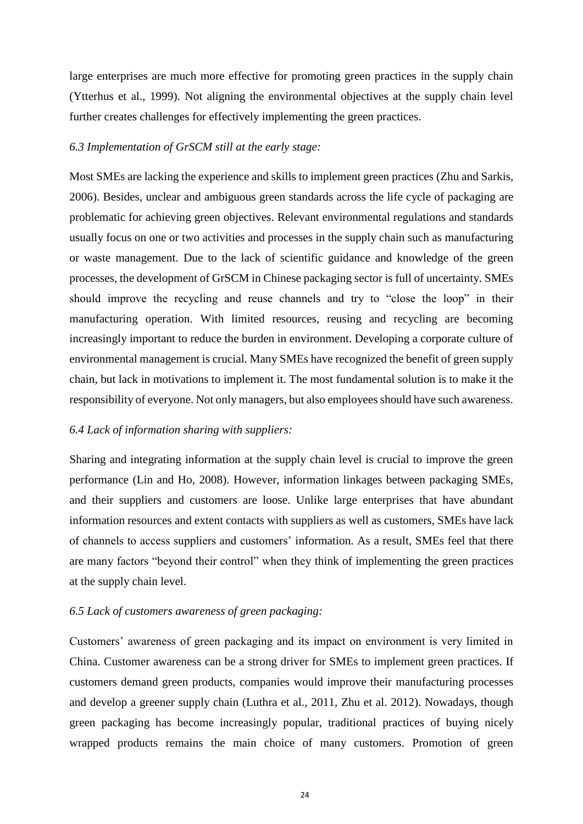large enterprises are much more effective for promoting green practices in the supply chain (Ytterhus et al., 1999). Not aligning the environmental objectives at the supply chain level further creates challenges for effectively implementing the green practices.

## *6.3 Implementation of GrSCM still at the early stage:*

Most SMEs are lacking the experience and skills to implement green practices (Zhu and Sarkis, 2006). Besides, unclear and ambiguous green standards across the life cycle of packaging are problematic for achieving green objectives. Relevant environmental regulations and standards usually focus on one or two activities and processes in the supply chain such as manufacturing or waste management. Due to the lack of scientific guidance and knowledge of the green processes, the development of GrSCM in Chinese packaging sector is full of uncertainty. SMEs should improve the recycling and reuse channels and try to "close the loop" in their manufacturing operation. With limited resources, reusing and recycling are becoming increasingly important to reduce the burden in environment. Developing a corporate culture of environmental management is crucial. Many SMEs have recognized the benefit of green supply chain, but lack in motivations to implement it. The most fundamental solution is to make it the responsibility of everyone. Not only managers, but also employees should have such awareness.

## *6.4 Lack of information sharing with suppliers:*

Sharing and integrating information at the supply chain level is crucial to improve the green performance (Lin and Ho, 2008). However, information linkages between packaging SMEs, and their suppliers and customers are loose. Unlike large enterprises that have abundant information resources and extent contacts with suppliers as well as customers, SMEs have lack of channels to access suppliers and customers' information. As a result, SMEs feel that there are many factors "beyond their control" when they think of implementing the green practices at the supply chain level.

## *6.5 Lack of customers awareness of green packaging:*

Customers' awareness of green packaging and its impact on environment is very limited in China. Customer awareness can be a strong driver for SMEs to implement green practices. If customers demand green products, companies would improve their manufacturing processes and develop a greener supply chain (Luthra et al., 2011, Zhu et al. 2012). Nowadays, though green packaging has become increasingly popular, traditional practices of buying nicely wrapped products remains the main choice of many customers. Promotion of green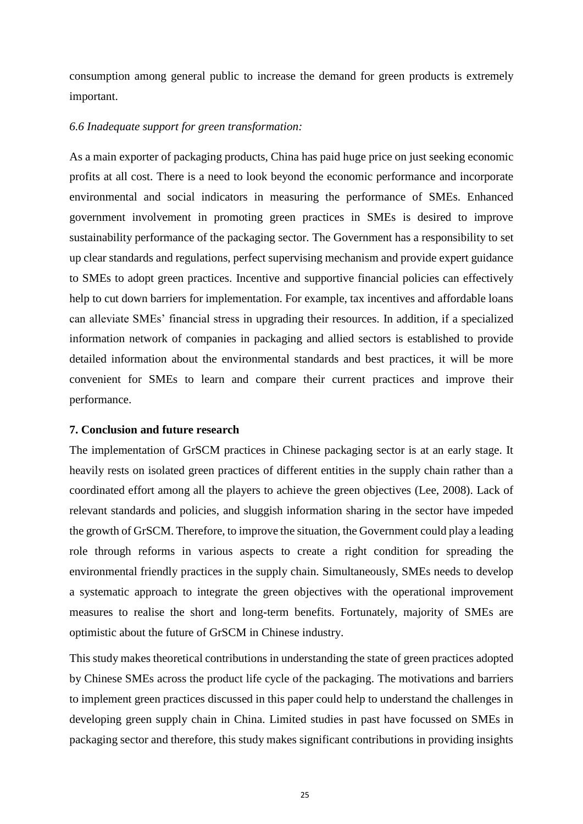consumption among general public to increase the demand for green products is extremely important.

## *6.6 Inadequate support for green transformation:*

As a main exporter of packaging products, China has paid huge price on just seeking economic profits at all cost. There is a need to look beyond the economic performance and incorporate environmental and social indicators in measuring the performance of SMEs. Enhanced government involvement in promoting green practices in SMEs is desired to improve sustainability performance of the packaging sector. The Government has a responsibility to set up clear standards and regulations, perfect supervising mechanism and provide expert guidance to SMEs to adopt green practices. Incentive and supportive financial policies can effectively help to cut down barriers for implementation. For example, tax incentives and affordable loans can alleviate SMEs' financial stress in upgrading their resources. In addition, if a specialized information network of companies in packaging and allied sectors is established to provide detailed information about the environmental standards and best practices, it will be more convenient for SMEs to learn and compare their current practices and improve their performance.

## **7. Conclusion and future research**

The implementation of GrSCM practices in Chinese packaging sector is at an early stage. It heavily rests on isolated green practices of different entities in the supply chain rather than a coordinated effort among all the players to achieve the green objectives (Lee, 2008). Lack of relevant standards and policies, and sluggish information sharing in the sector have impeded the growth of GrSCM. Therefore, to improve the situation, the Government could play a leading role through reforms in various aspects to create a right condition for spreading the environmental friendly practices in the supply chain. Simultaneously, SMEs needs to develop a systematic approach to integrate the green objectives with the operational improvement measures to realise the short and long-term benefits. Fortunately, majority of SMEs are optimistic about the future of GrSCM in Chinese industry.

This study makes theoretical contributions in understanding the state of green practices adopted by Chinese SMEs across the product life cycle of the packaging. The motivations and barriers to implement green practices discussed in this paper could help to understand the challenges in developing green supply chain in China. Limited studies in past have focussed on SMEs in packaging sector and therefore, this study makes significant contributions in providing insights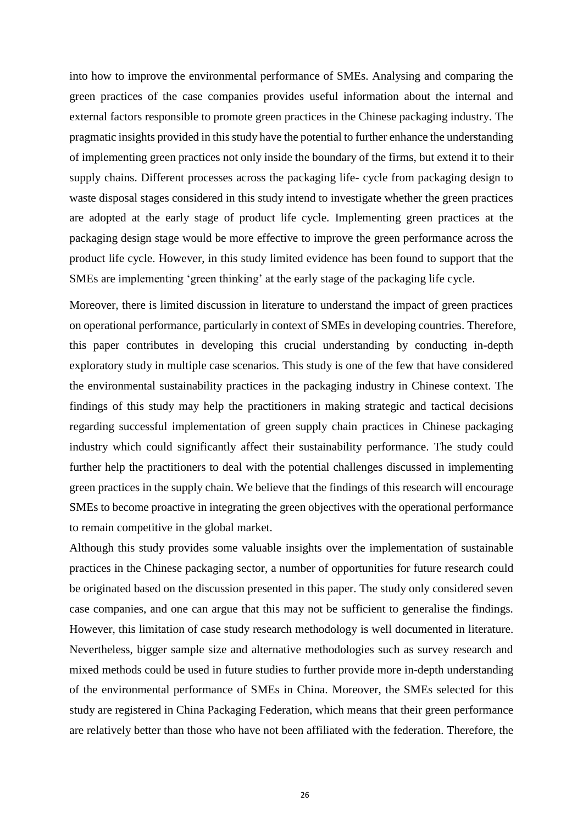into how to improve the environmental performance of SMEs. Analysing and comparing the green practices of the case companies provides useful information about the internal and external factors responsible to promote green practices in the Chinese packaging industry. The pragmatic insights provided in this study have the potential to further enhance the understanding of implementing green practices not only inside the boundary of the firms, but extend it to their supply chains. Different processes across the packaging life- cycle from packaging design to waste disposal stages considered in this study intend to investigate whether the green practices are adopted at the early stage of product life cycle. Implementing green practices at the packaging design stage would be more effective to improve the green performance across the product life cycle. However, in this study limited evidence has been found to support that the SMEs are implementing 'green thinking' at the early stage of the packaging life cycle.

Moreover, there is limited discussion in literature to understand the impact of green practices on operational performance, particularly in context of SMEs in developing countries. Therefore, this paper contributes in developing this crucial understanding by conducting in-depth exploratory study in multiple case scenarios. This study is one of the few that have considered the environmental sustainability practices in the packaging industry in Chinese context. The findings of this study may help the practitioners in making strategic and tactical decisions regarding successful implementation of green supply chain practices in Chinese packaging industry which could significantly affect their sustainability performance. The study could further help the practitioners to deal with the potential challenges discussed in implementing green practices in the supply chain. We believe that the findings of this research will encourage SMEs to become proactive in integrating the green objectives with the operational performance to remain competitive in the global market.

Although this study provides some valuable insights over the implementation of sustainable practices in the Chinese packaging sector, a number of opportunities for future research could be originated based on the discussion presented in this paper. The study only considered seven case companies, and one can argue that this may not be sufficient to generalise the findings. However, this limitation of case study research methodology is well documented in literature. Nevertheless, bigger sample size and alternative methodologies such as survey research and mixed methods could be used in future studies to further provide more in-depth understanding of the environmental performance of SMEs in China. Moreover, the SMEs selected for this study are registered in China Packaging Federation, which means that their green performance are relatively better than those who have not been affiliated with the federation. Therefore, the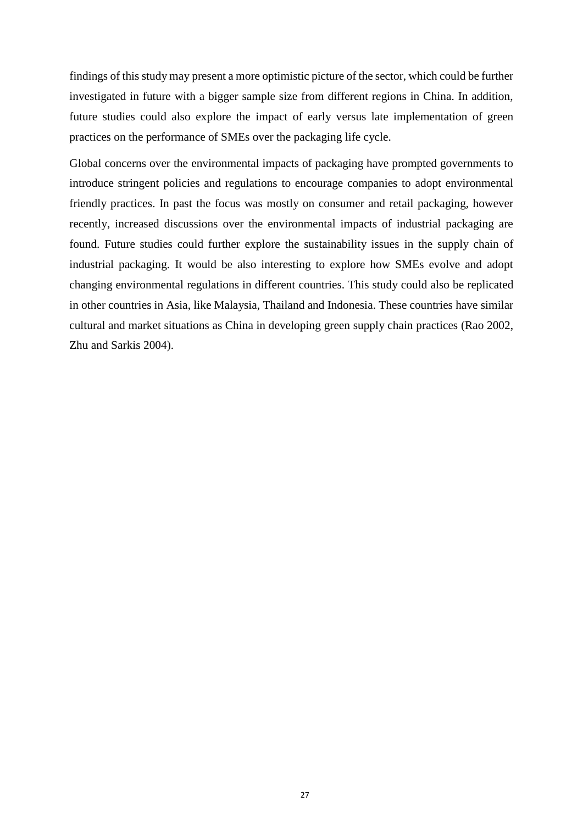findings of this study may present a more optimistic picture of the sector, which could be further investigated in future with a bigger sample size from different regions in China. In addition, future studies could also explore the impact of early versus late implementation of green practices on the performance of SMEs over the packaging life cycle.

Global concerns over the environmental impacts of packaging have prompted governments to introduce stringent policies and regulations to encourage companies to adopt environmental friendly practices. In past the focus was mostly on consumer and retail packaging, however recently, increased discussions over the environmental impacts of industrial packaging are found. Future studies could further explore the sustainability issues in the supply chain of industrial packaging. It would be also interesting to explore how SMEs evolve and adopt changing environmental regulations in different countries. This study could also be replicated in other countries in Asia, like Malaysia, Thailand and Indonesia. These countries have similar cultural and market situations as China in developing green supply chain practices (Rao 2002, Zhu and Sarkis 2004).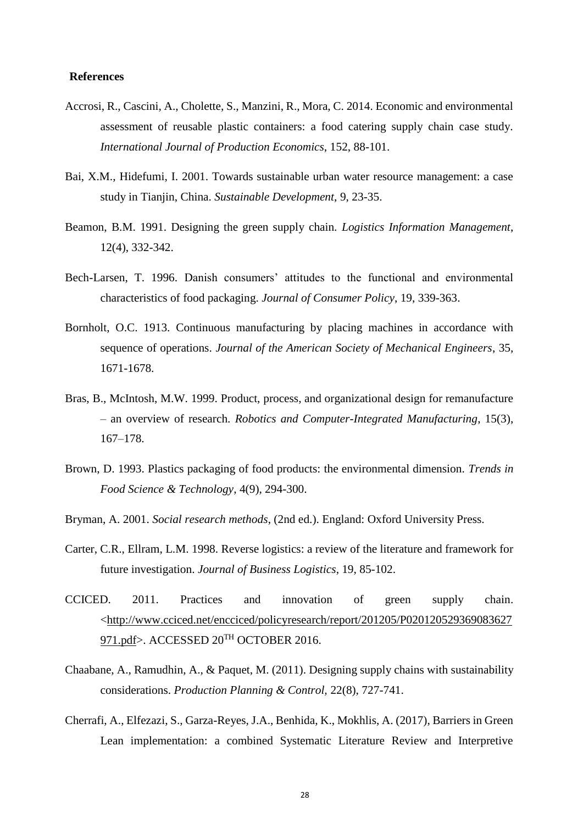## **References**

- Accrosi, R., Cascini, A., Cholette, S., Manzini, R., Mora, C. 2014. Economic and environmental assessment of reusable plastic containers: a food catering supply chain case study. *International Journal of Production Economics*, 152, 88-101.
- Bai, X.M., Hidefumi, I. 2001. Towards sustainable urban water resource management: a case study in Tianjin, China. *Sustainable Development*, 9, 23-35.
- Beamon, B.M. 1991. Designing the green supply chain. *Logistics Information Management*, 12(4), 332-342.
- Bech-Larsen, T. 1996. Danish consumers' attitudes to the functional and environmental characteristics of food packaging. *Journal of Consumer Policy*, 19, 339-363.
- Bornholt, O.C. 1913. Continuous manufacturing by placing machines in accordance with sequence of operations. *Journal of the American Society of Mechanical Engineers*, 35, 1671-1678.
- Bras, B., McIntosh, M.W. 1999. Product, process, and organizational design for remanufacture – an overview of research. *Robotics and Computer-Integrated Manufacturing*, 15(3), 167–178.
- Brown, D. 1993. Plastics packaging of food products: the environmental dimension. *Trends in Food Science & Technology*, 4(9), 294-300.
- Bryman, A. 2001. *Social research methods*, (2nd ed.). England: Oxford University Press.
- Carter, C.R., Ellram, L.M. 1998. Reverse logistics: a review of the literature and framework for future investigation. *Journal of Business Logistics*, 19, 85-102.
- CCICED. 2011. Practices and innovation of green supply chain. [<http://www.cciced.net/encciced/policyresearch/report/201205/P020120529369083627](http://www.cciced.net/encciced/policyresearch/report/201205/P020120529369083627971.pdf) [971.pdf>](http://www.cciced.net/encciced/policyresearch/report/201205/P020120529369083627971.pdf). ACCESSED 20<sup>TH</sup> OCTOBER 2016.
- Chaabane, A., Ramudhin, A., & Paquet, M. (2011). Designing supply chains with sustainability considerations. *Production Planning & Control,* 22(8), 727-741.
- Cherrafi, A., Elfezazi, S., Garza-Reyes, J.A., Benhida, K., Mokhlis, A. (2017), Barriers in Green Lean implementation: a combined Systematic Literature Review and Interpretive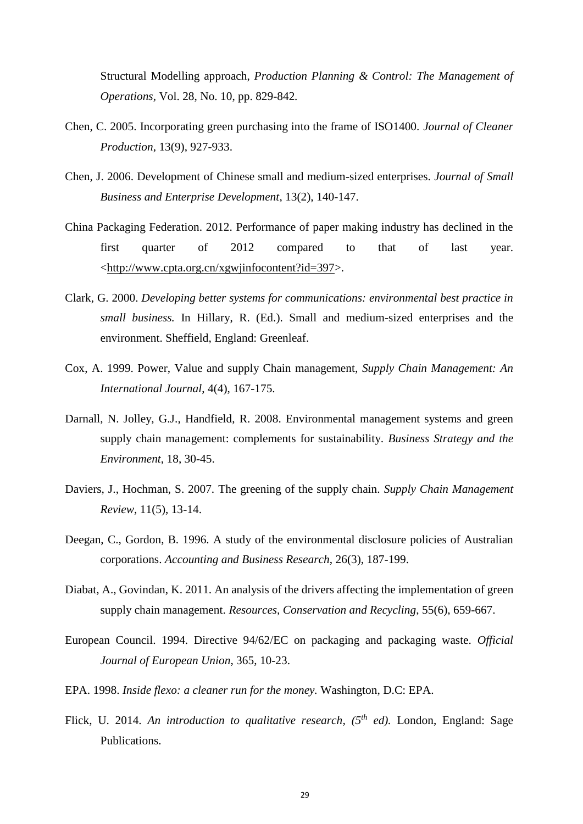Structural Modelling approach, *Production Planning & Control: The Management of Operations,* Vol. 28, No. 10, pp. 829-842*.*

- Chen, C. 2005. Incorporating green purchasing into the frame of ISO1400. *Journal of Cleaner Production*, 13(9), 927-933.
- Chen, J. 2006. Development of Chinese small and medium-sized enterprises. *Journal of Small Business and Enterprise Development*, 13(2), 140-147.
- China Packaging Federation. 2012. Performance of paper making industry has declined in the first quarter of 2012 compared to that of last year. [<http://www.cpta.org.cn/xgwjinfocontent?id=397>](http://www.cpta.org.cn/xgwjinfocontent?id=397).
- Clark, G. 2000. *Developing better systems for communications: environmental best practice in small business.* In Hillary, R. (Ed.). Small and medium-sized enterprises and the environment. Sheffield, England: Greenleaf.
- Cox, A. 1999. Power, Value and supply Chain management, *Supply Chain Management: An International Journal*, 4(4), 167-175.
- Darnall, N. Jolley, G.J., Handfield, R. 2008. Environmental management systems and green supply chain management: complements for sustainability. *Business Strategy and the Environment*, 18, 30-45.
- Daviers, J., Hochman, S. 2007. The greening of the supply chain. *Supply Chain Management Review*, 11(5), 13-14.
- Deegan, C., Gordon, B. 1996. A study of the environmental disclosure policies of Australian corporations. *Accounting and Business Research*, 26(3), 187-199.
- Diabat, A., Govindan, K. 2011. An analysis of the drivers affecting the implementation of green supply chain management. *Resources, Conservation and Recycling*, 55(6), 659-667.
- European Council. 1994. Directive 94/62/EC on packaging and packaging waste. *Official Journal of European Union*, 365, 10-23.
- EPA. 1998. *Inside flexo: a cleaner run for the money.* Washington, D.C: EPA.
- Flick, U. 2014. *An introduction to qualitative research, (5th ed).* London, England: Sage Publications.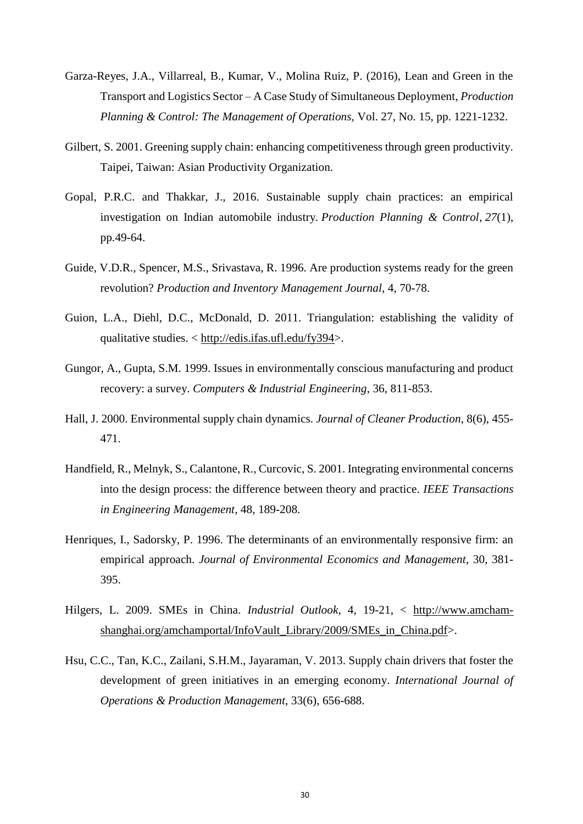- Garza-Reyes, J.A., Villarreal, B., Kumar, V., Molina Ruiz, P. (2016), Lean and Green in the Transport and Logistics Sector – A Case Study of Simultaneous Deployment, *Production Planning & Control: The Management of Operations,* Vol. 27, No. 15, pp. 1221-1232.
- Gilbert, S. 2001. Greening supply chain: enhancing competitiveness through green productivity. Taipei, Taiwan: Asian Productivity Organization.
- Gopal, P.R.C. and Thakkar, J., 2016. Sustainable supply chain practices: an empirical investigation on Indian automobile industry. *Production Planning & Control*, *27*(1), pp.49-64.
- Guide, V.D.R., Spencer, M.S., Srivastava, R. 1996. Are production systems ready for the green revolution? *Production and Inventory Management Journal*, 4, 70-78.
- Guion, L.A., Diehl, D.C., McDonald, D. 2011. Triangulation: establishing the validity of qualitative studies. < [http://edis.ifas.ufl.edu/fy394>](http://edis.ifas.ufl.edu/fy394).
- Gungor, A., Gupta, S.M. 1999. Issues in environmentally conscious manufacturing and product recovery: a survey. *Computers & Industrial Engineering*, 36, 811-853.
- Hall, J. 2000. Environmental supply chain dynamics. *Journal of Cleaner Production*, 8(6), 455- 471.
- Handfield, R., Melnyk, S., Calantone, R., Curcovic, S. 2001. Integrating environmental concerns into the design process: the difference between theory and practice. *IEEE Transactions in Engineering Management*, 48, 189-208.
- Henriques, I., Sadorsky, P. 1996. The determinants of an environmentally responsive firm: an empirical approach. *Journal of Environmental Economics and Management*, 30, 381- 395.
- Hilgers, L. 2009. SMEs in China. *Industrial Outlook*, 4, 19-21, < [http://www.amcham](http://www.amcham-shanghai.org/amchamportal/InfoVault_Library/2009/SMEs_in_China.pdf)[shanghai.org/amchamportal/InfoVault\\_Library/2009/SMEs\\_in\\_China.pdf>](http://www.amcham-shanghai.org/amchamportal/InfoVault_Library/2009/SMEs_in_China.pdf).
- Hsu, C.C., Tan, K.C., Zailani, S.H.M., Jayaraman, V. 2013. Supply chain drivers that foster the development of green initiatives in an emerging economy. *International Journal of Operations & Production Management*, 33(6), 656-688.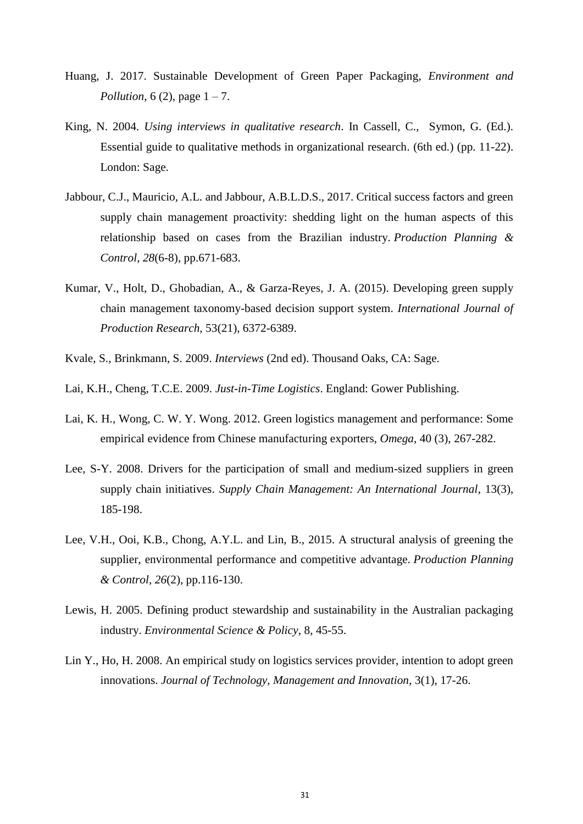- Huang, J. 2017. Sustainable Development of Green Paper Packaging, *Environment and Pollution*, 6 (2), page  $1 - 7$ .
- King, N. 2004. *Using interviews in qualitative research*. In Cassell, C., Symon, G. (Ed.). Essential guide to qualitative methods in organizational research. (6th ed.) (pp. 11-22). London: Sage.
- Jabbour, C.J., Mauricio, A.L. and Jabbour, A.B.L.D.S., 2017. Critical success factors and green supply chain management proactivity: shedding light on the human aspects of this relationship based on cases from the Brazilian industry. *Production Planning & Control*, *28*(6-8), pp.671-683.
- Kumar, V., Holt, D., Ghobadian, A., & Garza-Reyes, J. A. (2015). Developing green supply chain management taxonomy-based decision support system. *International Journal of Production Research,* 53(21), 6372-6389.
- Kvale, S., Brinkmann, S. 2009. *Interviews* (2nd ed). Thousand Oaks, CA: Sage.
- Lai, K.H., Cheng, T.C.E. 2009. *Just-in-Time Logistics*. England: Gower Publishing.
- Lai, K. H., Wong, C. W. Y. Wong. 2012. Green logistics management and performance: Some empirical evidence from Chinese manufacturing exporters, *Omega*, 40 (3), 267-282.
- Lee, S-Y. 2008. Drivers for the participation of small and medium-sized suppliers in green supply chain initiatives. *Supply Chain Management: An International Journal*, 13(3), 185-198.
- Lee, V.H., Ooi, K.B., Chong, A.Y.L. and Lin, B., 2015. A structural analysis of greening the supplier, environmental performance and competitive advantage. *Production Planning & Control*, *26*(2), pp.116-130.
- Lewis, H. 2005. Defining product stewardship and sustainability in the Australian packaging industry. *Environmental Science & Policy*, 8, 45-55.
- Lin Y., Ho, H. 2008. An empirical study on logistics services provider, intention to adopt green innovations. *Journal of Technology, Management and Innovation*, 3(1), 17-26.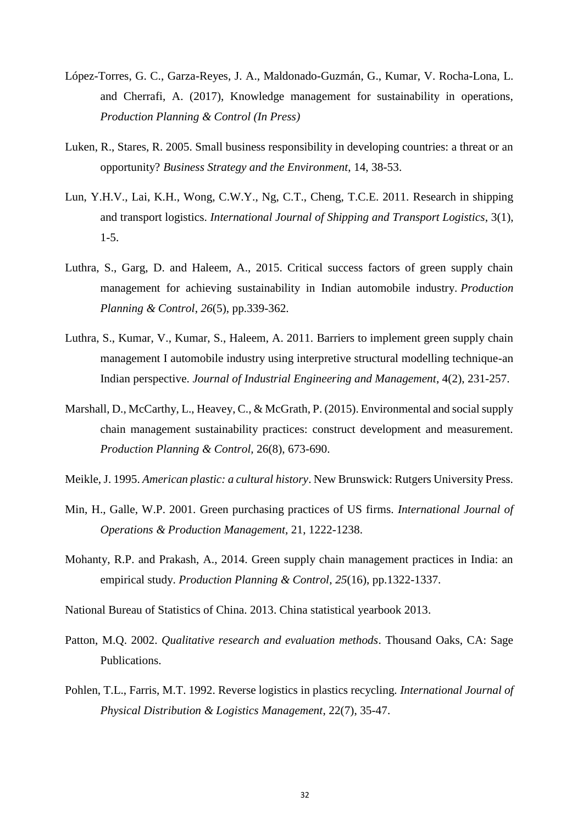- López-Torres, G. C., Garza-Reyes, J. A., Maldonado-Guzmán, G., Kumar, V. Rocha-Lona, L. and Cherrafi, A. (2017), Knowledge management for sustainability in operations, *Production Planning & Control (In Press)*
- Luken, R., Stares, R. 2005. Small business responsibility in developing countries: a threat or an opportunity? *Business Strategy and the Environment*, 14, 38-53.
- Lun, Y.H.V., Lai, K.H., Wong, C.W.Y., Ng, C.T., Cheng, T.C.E. 2011. Research in shipping and transport logistics. *International Journal of Shipping and Transport Logistics*, 3(1), 1-5.
- Luthra, S., Garg, D. and Haleem, A., 2015. Critical success factors of green supply chain management for achieving sustainability in Indian automobile industry. *Production Planning & Control*, *26*(5), pp.339-362.
- Luthra, S., Kumar, V., Kumar, S., Haleem, A. 2011. Barriers to implement green supply chain management I automobile industry using interpretive structural modelling technique-an Indian perspective. *Journal of Industrial Engineering and Management*, 4(2), 231-257.
- Marshall, D., McCarthy, L., Heavey, C., & McGrath, P. (2015). Environmental and social supply chain management sustainability practices: construct development and measurement. *Production Planning & Control,* 26(8), 673-690.
- Meikle, J. 1995. *American plastic: a cultural history*. New Brunswick: Rutgers University Press.
- Min, H., Galle, W.P. 2001. Green purchasing practices of US firms. *International Journal of Operations & Production Management*, 21, 1222-1238.
- Mohanty, R.P. and Prakash, A., 2014. Green supply chain management practices in India: an empirical study. *Production Planning & Control*, *25*(16), pp.1322-1337.
- National Bureau of Statistics of China. 2013. China statistical yearbook 2013.
- Patton, M.Q. 2002. *Qualitative research and evaluation methods*. Thousand Oaks, CA: Sage Publications.
- Pohlen, T.L., Farris, M.T. 1992. Reverse logistics in plastics recycling. *International Journal of Physical Distribution & Logistics Management*, 22(7), 35-47.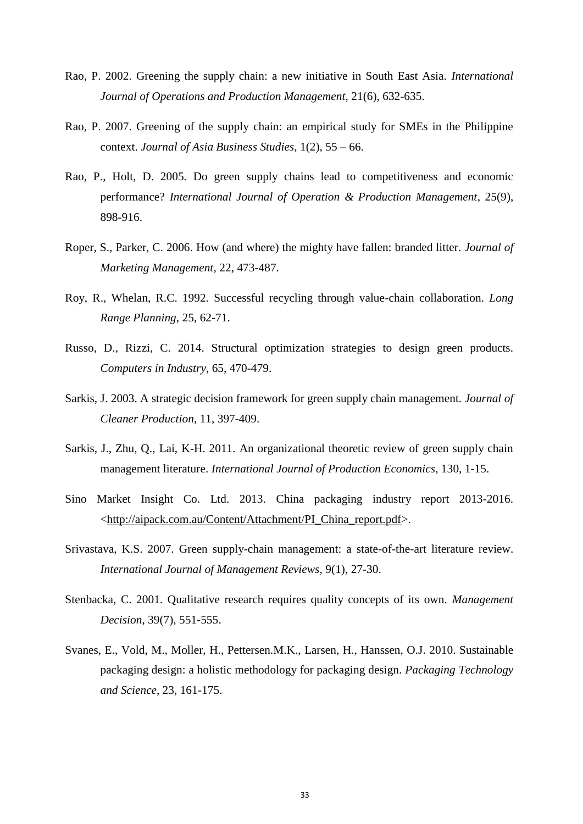- Rao, P. 2002. Greening the supply chain: a new initiative in South East Asia. *International Journal of Operations and Production Management*, 21(6), 632-635.
- Rao, P. 2007. Greening of the supply chain: an empirical study for SMEs in the Philippine context. *Journal of Asia Business Studies*, 1(2), 55 – 66.
- Rao, P., Holt, D. 2005. Do green supply chains lead to competitiveness and economic performance? *International Journal of Operation & Production Management*, 25(9), 898-916.
- Roper, S., Parker, C. 2006. How (and where) the mighty have fallen: branded litter. *Journal of Marketing Management*, 22, 473-487.
- Roy, R., Whelan, R.C. 1992. Successful recycling through value-chain collaboration. *Long Range Planning*, 25, 62-71.
- Russo, D., Rizzi, C. 2014. Structural optimization strategies to design green products. *Computers in Industry*, 65, 470-479.
- Sarkis, J. 2003. A strategic decision framework for green supply chain management. *Journal of Cleaner Production*, 11, 397-409.
- Sarkis, J., Zhu, Q., Lai, K-H. 2011. An organizational theoretic review of green supply chain management literature. *International Journal of Production Economics*, 130, 1-15.
- Sino Market Insight Co. Ltd. 2013. China packaging industry report 2013-2016. [<http://aipack.com.au/Content/Attachment/PI\\_China\\_report.pdf>](http://aipack.com.au/Content/Attachment/PI_China_report.pdf).
- Srivastava, K.S. 2007. Green supply-chain management: a state-of-the-art literature review. *International Journal of Management Reviews*, 9(1), 27-30.
- Stenbacka, C. 2001. Qualitative research requires quality concepts of its own. *Management Decision*, 39(7), 551-555.
- Svanes, E., Vold, M., Moller, H., Pettersen.M.K., Larsen, H., Hanssen, O.J. 2010. Sustainable packaging design: a holistic methodology for packaging design. *Packaging Technology and Science*, 23, 161-175.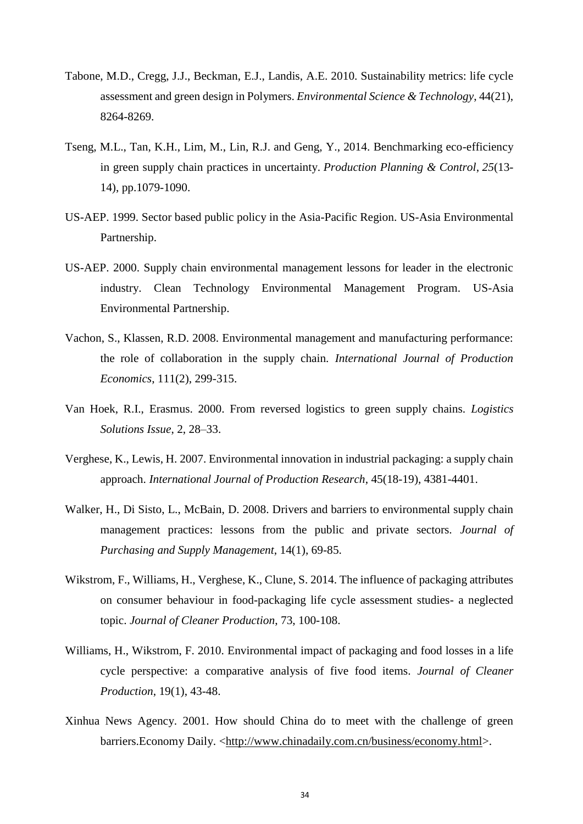- Tabone, M.D., Cregg, J.J., Beckman, E.J., Landis, A.E. 2010. Sustainability metrics: life cycle assessment and green design in Polymers. *Environmental Science & Technology*, 44(21), 8264-8269.
- Tseng, M.L., Tan, K.H., Lim, M., Lin, R.J. and Geng, Y., 2014. Benchmarking eco-efficiency in green supply chain practices in uncertainty. *Production Planning & Control*, *25*(13- 14), pp.1079-1090.
- US-AEP. 1999. Sector based public policy in the Asia-Pacific Region. US-Asia Environmental Partnership.
- US-AEP. 2000. Supply chain environmental management lessons for leader in the electronic industry. Clean Technology Environmental Management Program. US-Asia Environmental Partnership.
- Vachon, S., Klassen, R.D. 2008. Environmental management and manufacturing performance: the role of collaboration in the supply chain. *International Journal of Production Economics*, 111(2), 299-315.
- Van Hoek, R.I., Erasmus. 2000. From reversed logistics to green supply chains. *Logistics Solutions Issue*, 2, 28–33.
- Verghese, K., Lewis, H. 2007. Environmental innovation in industrial packaging: a supply chain approach. *International Journal of Production Research*, 45(18-19), 4381-4401.
- Walker, H., Di Sisto, L., McBain, D. 2008. Drivers and barriers to environmental supply chain management practices: lessons from the public and private sectors. *Journal of Purchasing and Supply Management*, 14(1), 69-85.
- Wikstrom, F., Williams, H., Verghese, K., Clune, S. 2014. The influence of packaging attributes on consumer behaviour in food-packaging life cycle assessment studies- a neglected topic. *Journal of Cleaner Production*, 73, 100-108.
- Williams, H., Wikstrom, F. 2010. Environmental impact of packaging and food losses in a life cycle perspective: a comparative analysis of five food items. *Journal of Cleaner Production*, 19(1), 43-48.
- Xinhua News Agency. 2001. How should China do to meet with the challenge of green barriers.Economy Daily. [<http://www.chinadaily.com.cn/business/economy.html>](http://www.chinadaily.com.cn/business/economy.html).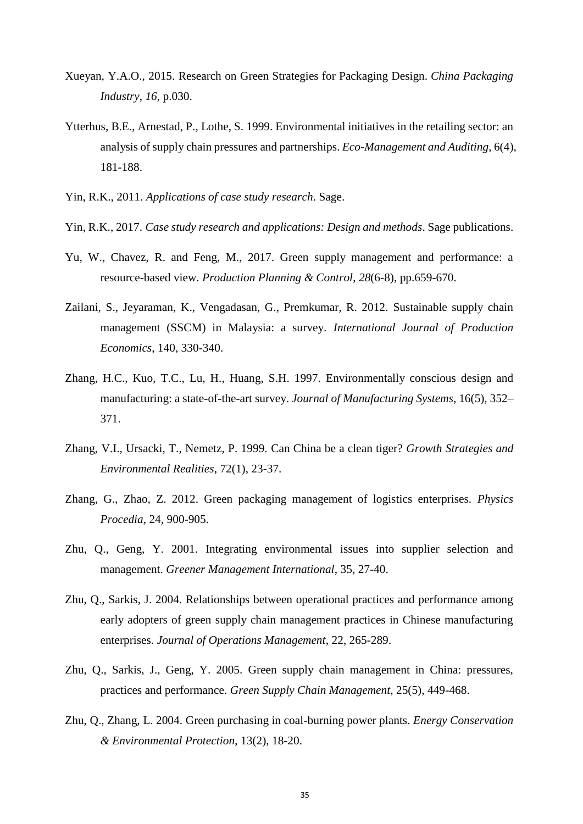- Xueyan, Y.A.O., 2015. Research on Green Strategies for Packaging Design. *China Packaging Industry*, *16*, p.030.
- Ytterhus, B.E., Arnestad, P., Lothe, S. 1999. Environmental initiatives in the retailing sector: an analysis of supply chain pressures and partnerships. *Eco-Management and Auditing*, 6(4), 181-188.
- Yin, R.K., 2011. *Applications of case study research*. Sage.
- Yin, R.K., 2017. *Case study research and applications: Design and methods*. Sage publications.
- Yu, W., Chavez, R. and Feng, M., 2017. Green supply management and performance: a resource-based view. *Production Planning & Control*, *28*(6-8), pp.659-670.
- Zailani, S., Jeyaraman, K., Vengadasan, G., Premkumar, R. 2012. Sustainable supply chain management (SSCM) in Malaysia: a survey. *International Journal of Production Economics*, 140, 330-340.
- Zhang, H.C., Kuo, T.C., Lu, H., Huang, S.H. 1997. Environmentally conscious design and manufacturing: a state-of-the-art survey. *Journal of Manufacturing Systems*, 16(5), 352– 371.
- Zhang, V.I., Ursacki, T., Nemetz, P. 1999. Can China be a clean tiger? *Growth Strategies and Environmental Realities*, 72(1), 23-37.
- Zhang, G., Zhao, Z. 2012. Green packaging management of logistics enterprises. *Physics Procedia*, 24, 900-905.
- Zhu, Q., Geng, Y. 2001. Integrating environmental issues into supplier selection and management. *Greener Management International*, 35, 27-40.
- Zhu, Q., Sarkis, J. 2004. Relationships between operational practices and performance among early adopters of green supply chain management practices in Chinese manufacturing enterprises. *Journal of Operations Management*, 22, 265-289.
- Zhu, Q., Sarkis, J., Geng, Y. 2005. Green supply chain management in China: pressures, practices and performance. *Green Supply Chain Management*, 25(5), 449-468.
- Zhu, Q., Zhang, L. 2004. Green purchasing in coal-burning power plants. *Energy Conservation & Environmental Protection*, 13(2), 18-20.